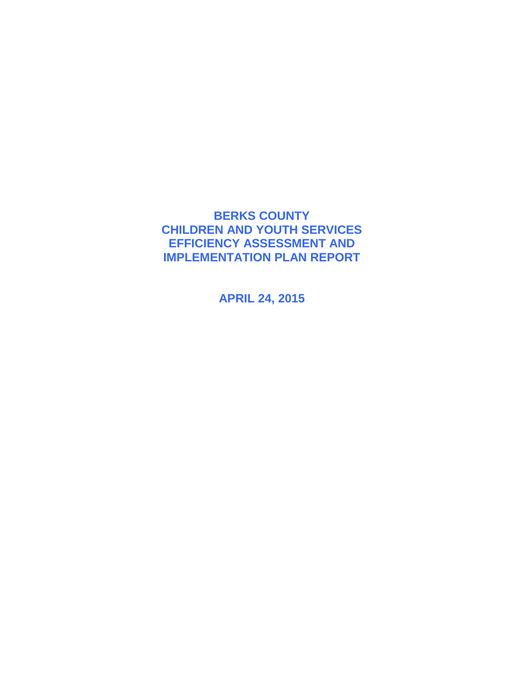### **BERKS COUNTY CHILDREN AND YOUTH SERVICES EFFICIENCY ASSESSMENT AND IMPLEMENTATION PLAN REPORT**

**APRIL 24, 2015**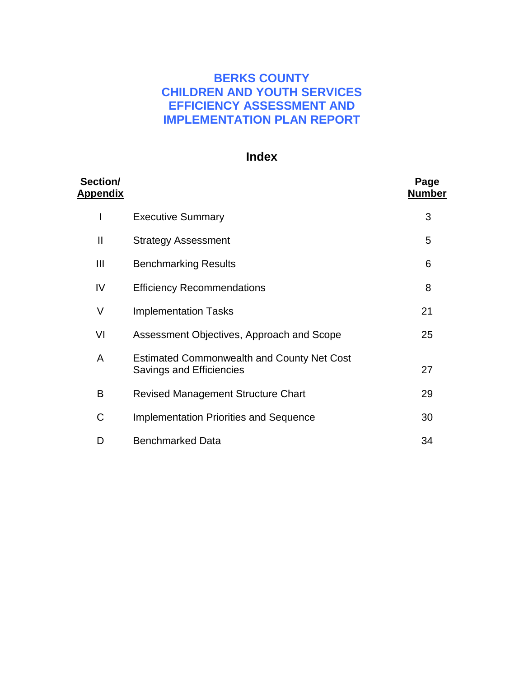### **BERKS COUNTY CHILDREN AND YOUTH SERVICES EFFICIENCY ASSESSMENT AND IMPLEMENTATION PLAN REPORT**

### **Index**

| Section/<br><u>Appendix</u> |                                                                               | Page<br>Number |
|-----------------------------|-------------------------------------------------------------------------------|----------------|
| I                           | <b>Executive Summary</b>                                                      | 3              |
| $\mathbf{I}$                | <b>Strategy Assessment</b>                                                    | 5              |
| Ш                           | <b>Benchmarking Results</b>                                                   | 6              |
| IV                          | <b>Efficiency Recommendations</b>                                             | 8              |
| V                           | <b>Implementation Tasks</b>                                                   | 21             |
| VI                          | Assessment Objectives, Approach and Scope                                     | 25             |
| A                           | <b>Estimated Commonwealth and County Net Cost</b><br>Savings and Efficiencies | 27             |
| B                           | <b>Revised Management Structure Chart</b>                                     | 29             |
| C                           | <b>Implementation Priorities and Sequence</b>                                 | 30             |
| D                           | <b>Benchmarked Data</b>                                                       | 34             |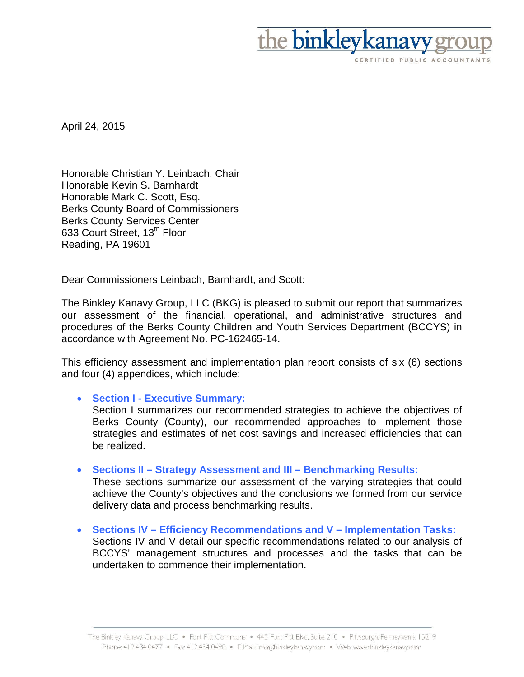

April 24, 2015

Honorable Christian Y. Leinbach, Chair Honorable Kevin S. Barnhardt Honorable Mark C. Scott, Esq. Berks County Board of Commissioners Berks County Services Center 633 Court Street, 13<sup>th</sup> Floor Reading, PA 19601

Dear Commissioners Leinbach, Barnhardt, and Scott:

The Binkley Kanavy Group, LLC (BKG) is pleased to submit our report that summarizes our assessment of the financial, operational, and administrative structures and procedures of the Berks County Children and Youth Services Department (BCCYS) in accordance with Agreement No. PC-162465-14.

This efficiency assessment and implementation plan report consists of six (6) sections and four (4) appendices, which include:

#### • **Section I - Executive Summary:**

Section I summarizes our recommended strategies to achieve the objectives of Berks County (County), our recommended approaches to implement those strategies and estimates of net cost savings and increased efficiencies that can be realized.

#### • **Sections II – Strategy Assessment and III – Benchmarking Results:**

These sections summarize our assessment of the varying strategies that could achieve the County's objectives and the conclusions we formed from our service delivery data and process benchmarking results.

• **Sections IV – Efficiency Recommendations and V – Implementation Tasks:**  Sections IV and V detail our specific recommendations related to our analysis of BCCYS' management structures and processes and the tasks that can be undertaken to commence their implementation.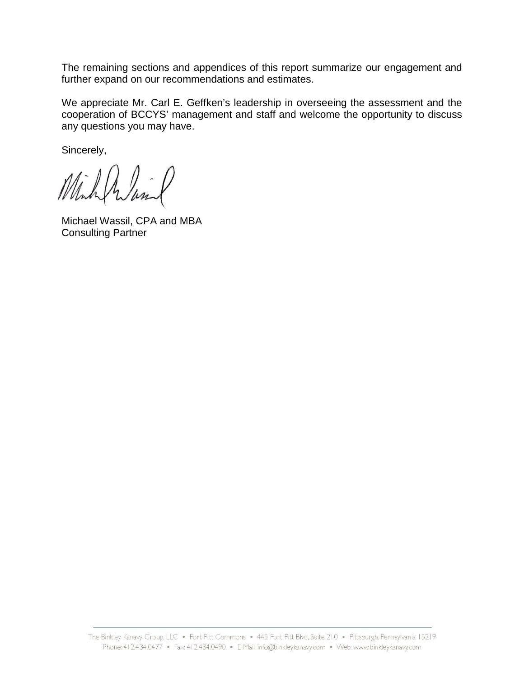The remaining sections and appendices of this report summarize our engagement and further expand on our recommendations and estimates.

We appreciate Mr. Carl E. Geffken's leadership in overseeing the assessment and the cooperation of BCCYS' management and staff and welcome the opportunity to discuss any questions you may have.

Sincerely,

Michael Wassil, CPA and MBA Consulting Partner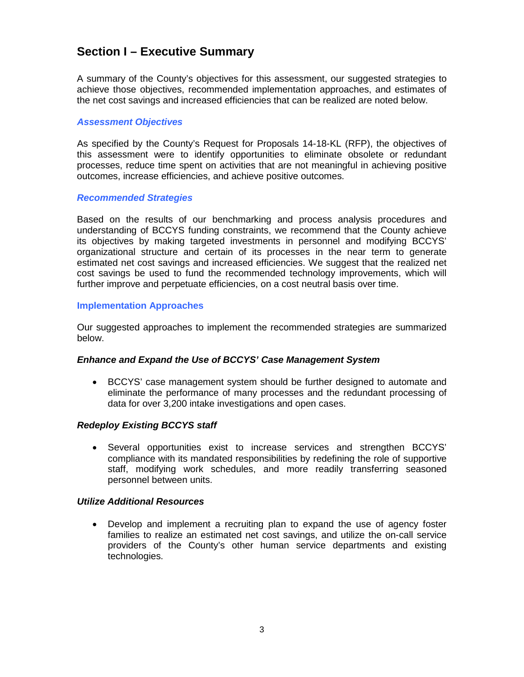### **Section I – Executive Summary**

A summary of the County's objectives for this assessment, our suggested strategies to achieve those objectives, recommended implementation approaches, and estimates of the net cost savings and increased efficiencies that can be realized are noted below.

#### *Assessment Objectives*

As specified by the County's Request for Proposals 14-18-KL (RFP), the objectives of this assessment were to identify opportunities to eliminate obsolete or redundant processes, reduce time spent on activities that are not meaningful in achieving positive outcomes, increase efficiencies, and achieve positive outcomes.

#### *Recommended Strategies*

Based on the results of our benchmarking and process analysis procedures and understanding of BCCYS funding constraints, we recommend that the County achieve its objectives by making targeted investments in personnel and modifying BCCYS' organizational structure and certain of its processes in the near term to generate estimated net cost savings and increased efficiencies. We suggest that the realized net cost savings be used to fund the recommended technology improvements, which will further improve and perpetuate efficiencies, on a cost neutral basis over time.

#### **Implementation Approaches**

Our suggested approaches to implement the recommended strategies are summarized below.

#### *Enhance and Expand the Use of BCCYS' Case Management System*

• BCCYS' case management system should be further designed to automate and eliminate the performance of many processes and the redundant processing of data for over 3,200 intake investigations and open cases.

#### *Redeploy Existing BCCYS staff*

• Several opportunities exist to increase services and strengthen BCCYS' compliance with its mandated responsibilities by redefining the role of supportive staff, modifying work schedules, and more readily transferring seasoned personnel between units.

#### *Utilize Additional Resources*

• Develop and implement a recruiting plan to expand the use of agency foster families to realize an estimated net cost savings, and utilize the on-call service providers of the County's other human service departments and existing technologies.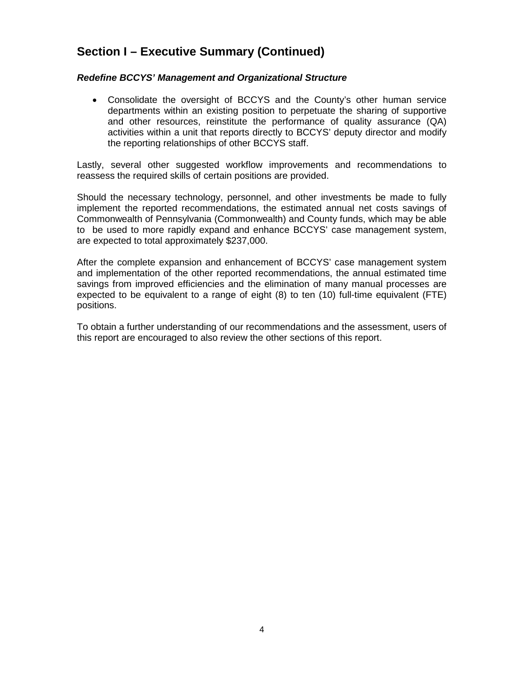## **Section I – Executive Summary (Continued)**

#### *Redefine BCCYS' Management and Organizational Structure*

• Consolidate the oversight of BCCYS and the County's other human service departments within an existing position to perpetuate the sharing of supportive and other resources, reinstitute the performance of quality assurance (QA) activities within a unit that reports directly to BCCYS' deputy director and modify the reporting relationships of other BCCYS staff.

Lastly, several other suggested workflow improvements and recommendations to reassess the required skills of certain positions are provided.

Should the necessary technology, personnel, and other investments be made to fully implement the reported recommendations, the estimated annual net costs savings of Commonwealth of Pennsylvania (Commonwealth) and County funds, which may be able to be used to more rapidly expand and enhance BCCYS' case management system, are expected to total approximately \$237,000.

After the complete expansion and enhancement of BCCYS' case management system and implementation of the other reported recommendations, the annual estimated time savings from improved efficiencies and the elimination of many manual processes are expected to be equivalent to a range of eight (8) to ten (10) full-time equivalent (FTE) positions.

To obtain a further understanding of our recommendations and the assessment, users of this report are encouraged to also review the other sections of this report.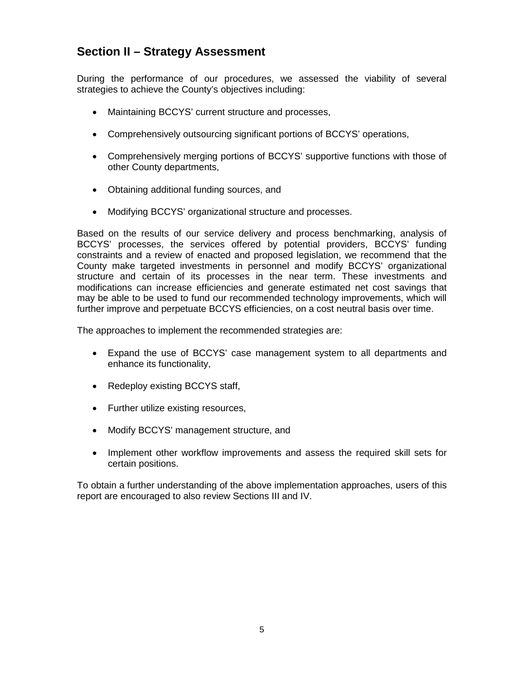### **Section II – Strategy Assessment**

During the performance of our procedures, we assessed the viability of several strategies to achieve the County's objectives including:

- Maintaining BCCYS' current structure and processes,
- Comprehensively outsourcing significant portions of BCCYS' operations,
- Comprehensively merging portions of BCCYS' supportive functions with those of other County departments,
- Obtaining additional funding sources, and
- Modifying BCCYS' organizational structure and processes.

Based on the results of our service delivery and process benchmarking, analysis of BCCYS' processes, the services offered by potential providers, BCCYS' funding constraints and a review of enacted and proposed legislation, we recommend that the County make targeted investments in personnel and modify BCCYS' organizational structure and certain of its processes in the near term. These investments and modifications can increase efficiencies and generate estimated net cost savings that may be able to be used to fund our recommended technology improvements, which will further improve and perpetuate BCCYS efficiencies, on a cost neutral basis over time.

The approaches to implement the recommended strategies are:

- Expand the use of BCCYS' case management system to all departments and enhance its functionality,
- Redeploy existing BCCYS staff,
- Further utilize existing resources,
- Modify BCCYS' management structure, and
- Implement other workflow improvements and assess the required skill sets for certain positions.

To obtain a further understanding of the above implementation approaches, users of this report are encouraged to also review Sections III and IV.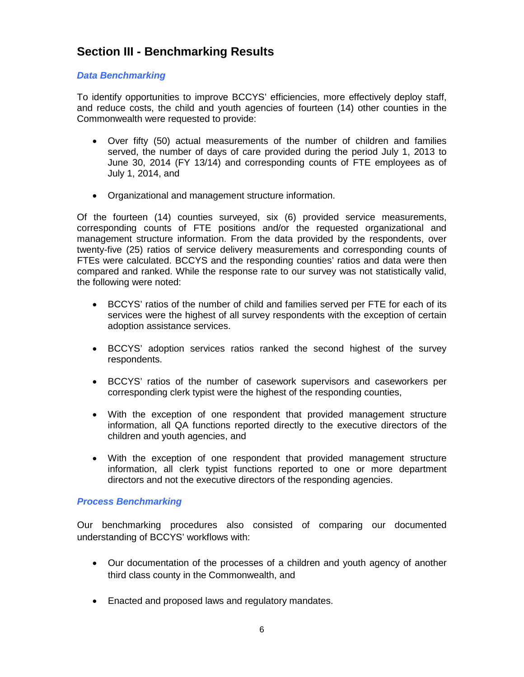## **Section III - Benchmarking Results**

#### *Data Benchmarking*

To identify opportunities to improve BCCYS' efficiencies, more effectively deploy staff, and reduce costs, the child and youth agencies of fourteen (14) other counties in the Commonwealth were requested to provide:

- Over fifty (50) actual measurements of the number of children and families served, the number of days of care provided during the period July 1, 2013 to June 30, 2014 (FY 13/14) and corresponding counts of FTE employees as of July 1, 2014, and
- Organizational and management structure information.

Of the fourteen (14) counties surveyed, six (6) provided service measurements, corresponding counts of FTE positions and/or the requested organizational and management structure information. From the data provided by the respondents, over twenty-five (25) ratios of service delivery measurements and corresponding counts of FTEs were calculated. BCCYS and the responding counties' ratios and data were then compared and ranked. While the response rate to our survey was not statistically valid, the following were noted:

- BCCYS' ratios of the number of child and families served per FTE for each of its services were the highest of all survey respondents with the exception of certain adoption assistance services.
- BCCYS' adoption services ratios ranked the second highest of the survey respondents.
- BCCYS' ratios of the number of casework supervisors and caseworkers per corresponding clerk typist were the highest of the responding counties,
- With the exception of one respondent that provided management structure information, all QA functions reported directly to the executive directors of the children and youth agencies, and
- With the exception of one respondent that provided management structure information, all clerk typist functions reported to one or more department directors and not the executive directors of the responding agencies.

#### *Process Benchmarking*

Our benchmarking procedures also consisted of comparing our documented understanding of BCCYS' workflows with:

- Our documentation of the processes of a children and youth agency of another third class county in the Commonwealth, and
- Enacted and proposed laws and regulatory mandates.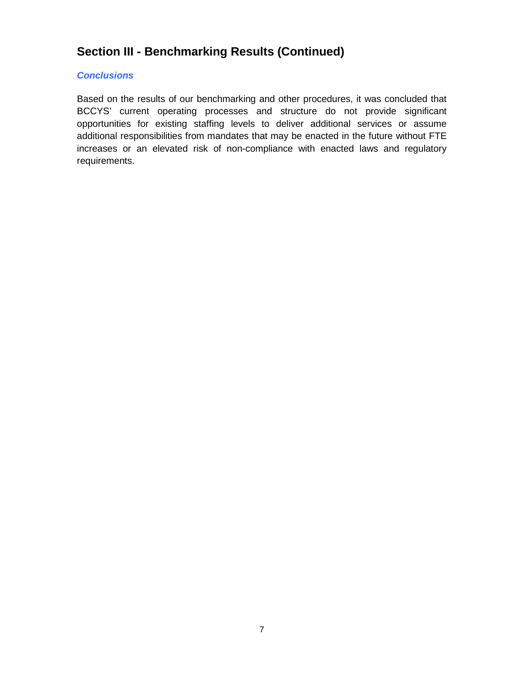### **Section III - Benchmarking Results (Continued)**

#### *Conclusions*

Based on the results of our benchmarking and other procedures, it was concluded that BCCYS' current operating processes and structure do not provide significant opportunities for existing staffing levels to deliver additional services or assume additional responsibilities from mandates that may be enacted in the future without FTE increases or an elevated risk of non-compliance with enacted laws and regulatory requirements.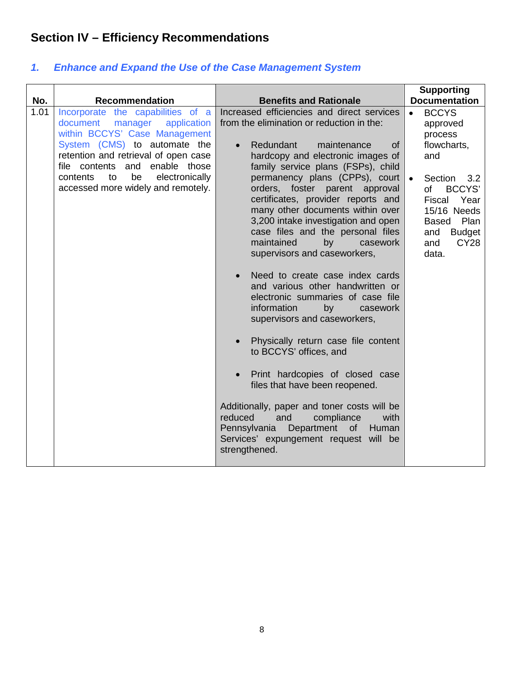## **Section IV – Efficiency Recommendations**

| No.  | <b>Recommendation</b>                                                                                                                                                                                                                                                                                    | <b>Benefits and Rationale</b>                                                                                                                                                                                                                                                                                                                                                                                                                                                                                                                                                                                                                                                                                                                                                                                                                                                                                                                                                                                                                                         | <b>Supporting</b><br><b>Documentation</b>                                                                                                                                                                                                    |
|------|----------------------------------------------------------------------------------------------------------------------------------------------------------------------------------------------------------------------------------------------------------------------------------------------------------|-----------------------------------------------------------------------------------------------------------------------------------------------------------------------------------------------------------------------------------------------------------------------------------------------------------------------------------------------------------------------------------------------------------------------------------------------------------------------------------------------------------------------------------------------------------------------------------------------------------------------------------------------------------------------------------------------------------------------------------------------------------------------------------------------------------------------------------------------------------------------------------------------------------------------------------------------------------------------------------------------------------------------------------------------------------------------|----------------------------------------------------------------------------------------------------------------------------------------------------------------------------------------------------------------------------------------------|
| 1.01 | Incorporate the capabilities of a<br>application<br>document<br>manager<br>within BCCYS' Case Management<br>System (CMS) to automate the<br>retention and retrieval of open case<br>file contents<br>enable those<br>and<br>electronically<br>contents<br>be<br>to<br>accessed more widely and remotely. | Increased efficiencies and direct services<br>from the elimination or reduction in the:<br>Redundant<br>maintenance<br><b>of</b><br>$\bullet$<br>hardcopy and electronic images of<br>family service plans (FSPs), child<br>permanency plans (CPPs), court<br>orders, foster parent approval<br>certificates, provider reports and<br>many other documents within over<br>3,200 intake investigation and open<br>case files and the personal files<br>maintained<br>by<br>casework<br>supervisors and caseworkers,<br>Need to create case index cards<br>and various other handwritten or<br>electronic summaries of case file<br>information<br>by<br>casework<br>supervisors and caseworkers,<br>Physically return case file content<br>$\bullet$<br>to BCCYS' offices, and<br>Print hardcopies of closed case<br>$\bullet$<br>files that have been reopened.<br>Additionally, paper and toner costs will be<br>reduced<br>and<br>compliance<br>with<br>Pennsylvania<br>Department<br>$-$ of $-$<br>Human<br>Services' expungement request will be<br>strengthened. | <b>BCCYS</b><br>$\bullet$<br>approved<br>process<br>flowcharts,<br>and<br>Section<br>$\bullet$<br>3.2<br><b>BCCYS'</b><br>of<br>Fiscal<br>Year<br>15/16 Needs<br>Plan<br><b>Based</b><br><b>Budget</b><br>and<br><b>CY28</b><br>and<br>data. |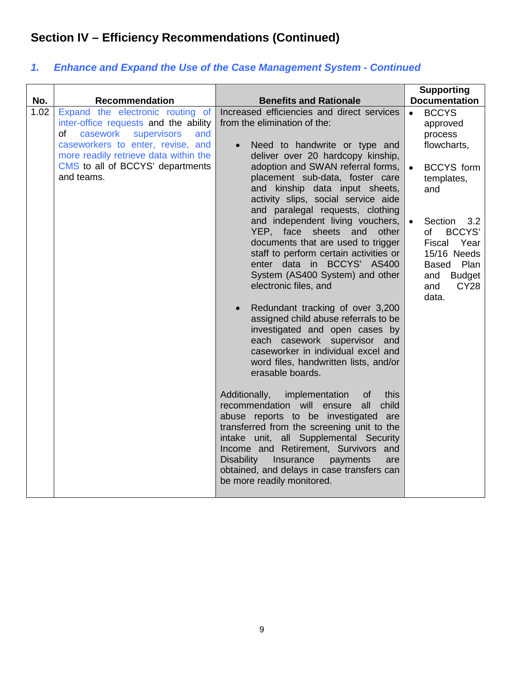| No.  | <b>Recommendation</b>                                                                                                                                                                                                                             | <b>Benefits and Rationale</b>                                                                                                                                                                                                                                                                                                                                                                                                                                                                                                                                                                                                                                                                                                                                                                                                                                                                                                                                                                                                                           | <b>Supporting</b><br><b>Documentation</b>                                                                                                                                                                                                                                       |
|------|---------------------------------------------------------------------------------------------------------------------------------------------------------------------------------------------------------------------------------------------------|---------------------------------------------------------------------------------------------------------------------------------------------------------------------------------------------------------------------------------------------------------------------------------------------------------------------------------------------------------------------------------------------------------------------------------------------------------------------------------------------------------------------------------------------------------------------------------------------------------------------------------------------------------------------------------------------------------------------------------------------------------------------------------------------------------------------------------------------------------------------------------------------------------------------------------------------------------------------------------------------------------------------------------------------------------|---------------------------------------------------------------------------------------------------------------------------------------------------------------------------------------------------------------------------------------------------------------------------------|
| 1.02 | Expand the electronic routing of<br>inter-office requests and the ability<br>casework<br>supervisors<br>of<br>and<br>caseworkers to enter, revise, and<br>more readily retrieve data within the<br>CMS to all of BCCYS' departments<br>and teams. | Increased efficiencies and direct services<br>from the elimination of the:<br>Need to handwrite or type and<br>$\bullet$<br>deliver over 20 hardcopy kinship,<br>adoption and SWAN referral forms,<br>placement sub-data, foster care<br>and kinship data input sheets,<br>activity slips, social service aide<br>and paralegal requests, clothing<br>and independent living vouchers,<br>YEP, face sheets and<br>other<br>documents that are used to trigger<br>staff to perform certain activities or<br>enter data in BCCYS' AS400<br>System (AS400 System) and other<br>electronic files, and<br>Redundant tracking of over 3,200<br>$\bullet$<br>assigned child abuse referrals to be<br>investigated and open cases by<br>each casework supervisor and<br>caseworker in individual excel and<br>word files, handwritten lists, and/or<br>erasable boards.<br>Additionally,<br>implementation<br>this<br>οf<br>child<br>recommendation will<br>all<br>ensure<br>abuse reports to be investigated are<br>transferred from the screening unit to the | <b>BCCYS</b><br>$\bullet$<br>approved<br>process<br>flowcharts,<br><b>BCCYS</b> form<br>$\bullet$<br>templates,<br>and<br>Section<br>3.2<br>of<br><b>BCCYS'</b><br>Fiscal<br>Year<br>15/16 Needs<br>Plan<br><b>Based</b><br>and<br><b>Budget</b><br><b>CY28</b><br>and<br>data. |
|      |                                                                                                                                                                                                                                                   | intake unit, all Supplemental Security<br>Income and Retirement, Survivors and<br>Insurance<br>Disability<br>payments<br>are<br>obtained, and delays in case transfers can<br>be more readily monitored.                                                                                                                                                                                                                                                                                                                                                                                                                                                                                                                                                                                                                                                                                                                                                                                                                                                |                                                                                                                                                                                                                                                                                 |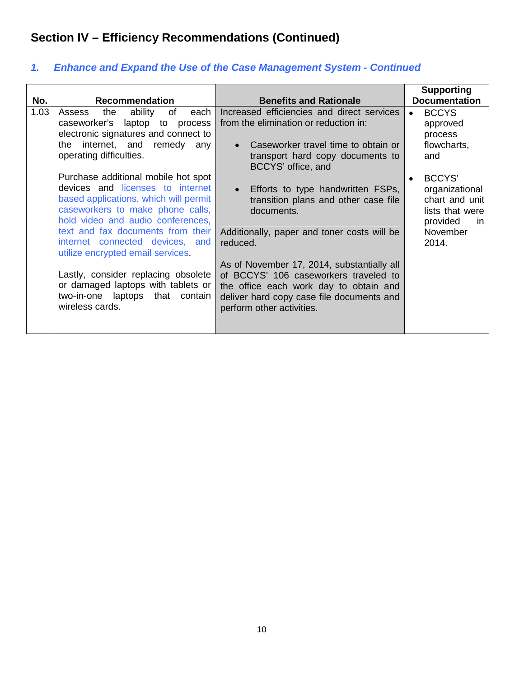| No.  | <b>Recommendation</b>                                                                                                                                                                                                                                             | <b>Benefits and Rationale</b>                                                                                                                                                                           | <b>Supporting</b><br><b>Documentation</b>                                                             |
|------|-------------------------------------------------------------------------------------------------------------------------------------------------------------------------------------------------------------------------------------------------------------------|---------------------------------------------------------------------------------------------------------------------------------------------------------------------------------------------------------|-------------------------------------------------------------------------------------------------------|
| 1.03 | ability<br>of<br>Assess<br>the<br>each<br>caseworker's<br>laptop to process<br>electronic signatures and connect to                                                                                                                                               | Increased efficiencies and direct services<br>from the elimination or reduction in:                                                                                                                     | <b>BCCYS</b><br>approved<br>process                                                                   |
|      | internet, and remedy any<br>the<br>operating difficulties.                                                                                                                                                                                                        | Caseworker travel time to obtain or<br>transport hard copy documents to<br>BCCYS' office, and                                                                                                           | flowcharts,<br>and                                                                                    |
|      | Purchase additional mobile hot spot<br>devices and licenses to internet<br>based applications, which will permit<br>caseworkers to make phone calls,<br>hold video and audio conferences,<br>text and fax documents from their<br>internet connected devices, and | Efforts to type handwritten FSPs,<br>transition plans and other case file<br>documents.<br>Additionally, paper and toner costs will be<br>reduced.                                                      | BCCYS'<br>organizational<br>chart and unit<br>lists that were<br>provided<br>in.<br>November<br>2014. |
|      | utilize encrypted email services.<br>Lastly, consider replacing obsolete<br>or damaged laptops with tablets or<br>two-in-one laptops that contain<br>wireless cards.                                                                                              | As of November 17, 2014, substantially all<br>of BCCYS' 106 caseworkers traveled to<br>the office each work day to obtain and<br>deliver hard copy case file documents and<br>perform other activities. |                                                                                                       |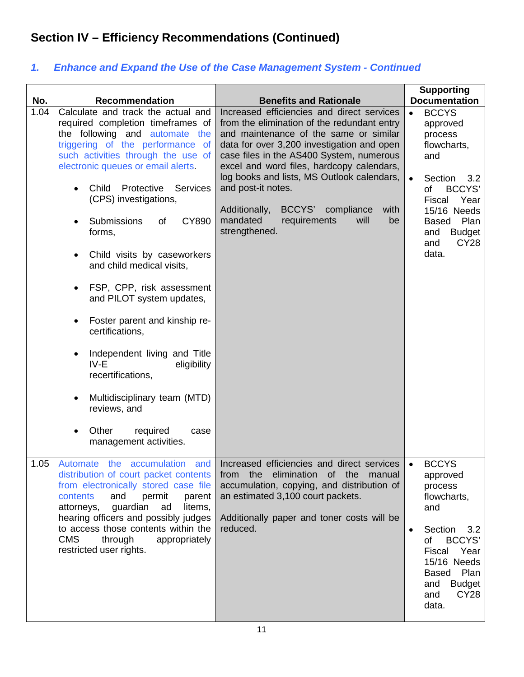| No.  | <b>Recommendation</b>                                                                                                                                                                                                                                                                                                                                                                                                                                                                                                                                                                                                                                                                                    | <b>Benefits and Rationale</b>                                                                                                                                                                                                                                                                                                                                                                                                                           | <b>Supporting</b><br><b>Documentation</b>                                                                                                                                                                                                    |
|------|----------------------------------------------------------------------------------------------------------------------------------------------------------------------------------------------------------------------------------------------------------------------------------------------------------------------------------------------------------------------------------------------------------------------------------------------------------------------------------------------------------------------------------------------------------------------------------------------------------------------------------------------------------------------------------------------------------|---------------------------------------------------------------------------------------------------------------------------------------------------------------------------------------------------------------------------------------------------------------------------------------------------------------------------------------------------------------------------------------------------------------------------------------------------------|----------------------------------------------------------------------------------------------------------------------------------------------------------------------------------------------------------------------------------------------|
| 1.04 | Calculate and track the actual and<br>required completion timeframes of<br>the following and automate the<br>triggering of the performance of<br>such activities through the use of<br>electronic queues or email alerts.<br>Child<br><b>Services</b><br>Protective<br>(CPS) investigations,<br><b>CY890</b><br>Submissions<br>of<br>forms,<br>Child visits by caseworkers<br>and child medical visits,<br>FSP, CPP, risk assessment<br>and PILOT system updates,<br>Foster parent and kinship re-<br>certifications,<br>Independent living and Title<br>IV-E<br>eligibility<br>recertifications,<br>Multidisciplinary team (MTD)<br>reviews, and<br>Other<br>required<br>case<br>management activities. | Increased efficiencies and direct services<br>from the elimination of the redundant entry<br>and maintenance of the same or similar<br>data for over 3,200 investigation and open<br>case files in the AS400 System, numerous<br>excel and word files, hardcopy calendars,<br>log books and lists, MS Outlook calendars,<br>and post-it notes.<br>Additionally,<br>BCCYS' compliance<br>with<br>mandated<br>requirements<br>will<br>be<br>strengthened. | <b>BCCYS</b><br>$\bullet$<br>approved<br>process<br>flowcharts,<br>and<br>Section<br>3.2<br>$\bullet$<br>of<br><b>BCCYS'</b><br>Fiscal<br>Year<br>15/16 Needs<br>Plan<br><b>Based</b><br><b>Budget</b><br>and<br><b>CY28</b><br>and<br>data. |
| 1.05 | distribution of court packet contents<br>from electronically stored case file<br>contents<br>and<br>permit<br>parent<br>guardian<br>attorneys,<br>ad<br>litems,<br>hearing officers and possibly judges<br>to access those contents within the<br><b>CMS</b><br>through<br>appropriately<br>restricted user rights.                                                                                                                                                                                                                                                                                                                                                                                      | Automate the accumulation and Increased efficiencies and direct services<br>from the elimination of the manual<br>accumulation, copying, and distribution of<br>an estimated 3,100 court packets.<br>Additionally paper and toner costs will be<br>reduced.                                                                                                                                                                                             | <b>BCCYS</b><br>approved<br>process<br>flowcharts,<br>and<br>Section<br>3.2<br>$\bullet$<br>BCCYS'<br>of<br>Fiscal Year<br>15/16 Needs<br>Plan<br><b>Based</b><br><b>Budget</b><br>and<br>and<br>CY28<br>data.                               |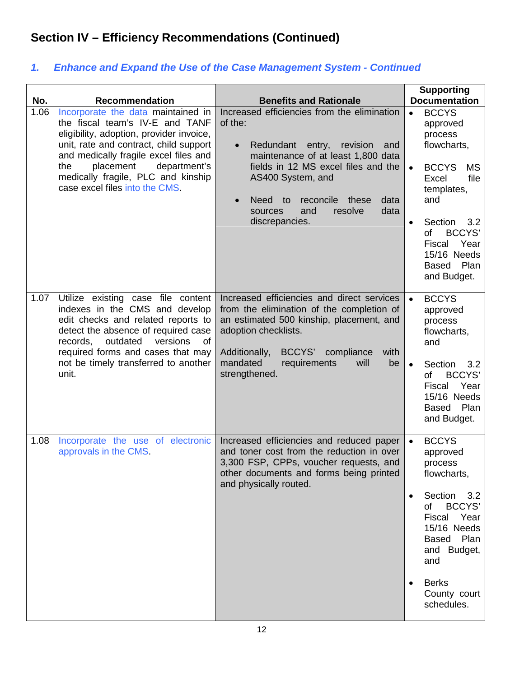| No.  | <b>Recommendation</b>                                                                                                                                                                                                                                                                                            | <b>Benefits and Rationale</b>                                                                                                                                                                                                                                                                                          | <b>Supporting</b><br><b>Documentation</b>                                                                                                                                                                                                                                     |
|------|------------------------------------------------------------------------------------------------------------------------------------------------------------------------------------------------------------------------------------------------------------------------------------------------------------------|------------------------------------------------------------------------------------------------------------------------------------------------------------------------------------------------------------------------------------------------------------------------------------------------------------------------|-------------------------------------------------------------------------------------------------------------------------------------------------------------------------------------------------------------------------------------------------------------------------------|
| 1.06 | Incorporate the data maintained in<br>the fiscal team's IV-E and TANF<br>eligibility, adoption, provider invoice,<br>unit, rate and contract, child support<br>and medically fragile excel files and<br>the<br>placement<br>department's<br>medically fragile, PLC and kinship<br>case excel files into the CMS. | Increased efficiencies from the elimination<br>of the:<br>Redundant entry,<br>revision<br>$\bullet$<br>and<br>maintenance of at least 1,800 data<br>fields in 12 MS excel files and the<br>AS400 System, and<br>reconcile these<br>data<br>Need to<br>$\bullet$<br>resolve<br>data<br>sources<br>and<br>discrepancies. | <b>BCCYS</b><br>$\bullet$<br>approved<br>process<br>flowcharts,<br><b>BCCYS</b><br><b>MS</b><br>$\bullet$<br>file<br>Excel<br>templates,<br>and<br>Section<br>3.2<br>$\bullet$<br>of<br><b>BCCYS'</b><br>Year<br>Fiscal<br>15/16 Needs<br>Plan<br><b>Based</b><br>and Budget. |
| 1.07 | Utilize existing case file content<br>indexes in the CMS and develop<br>edit checks and related reports to<br>detect the absence of required case<br>outdated<br>versions<br>records,<br>of<br>required forms and cases that may<br>not be timely transferred to another<br>unit.                                | Increased efficiencies and direct services<br>from the elimination of the completion of<br>an estimated 500 kinship, placement, and<br>adoption checklists.<br>BCCYS' compliance<br>Additionally,<br>with<br>mandated<br>requirements<br>be<br>will<br>strengthened.                                                   | <b>BCCYS</b><br>$\bullet$<br>approved<br>process<br>flowcharts,<br>and<br>Section<br>3.2<br>$\bullet$<br>of<br>BCCYS'<br>Fiscal Year<br>15/16 Needs<br>Plan<br><b>Based</b><br>and Budget.                                                                                    |
| 1.08 | Incorporate the use of electronic<br>approvals in the CMS.                                                                                                                                                                                                                                                       | Increased efficiencies and reduced paper<br>and toner cost from the reduction in over<br>3,300 FSP, CPPs, voucher requests, and<br>other documents and forms being printed<br>and physically routed.                                                                                                                   | <b>BCCYS</b><br>$\bullet$<br>approved<br>process<br>flowcharts,<br>Section<br>3.2<br>$\bullet$<br><b>BCCYS'</b><br>of<br>Fiscal Year<br>15/16 Needs<br>Plan<br>Based<br>and Budget,<br>and<br><b>Berks</b><br>$\bullet$<br>County court<br>schedules.                         |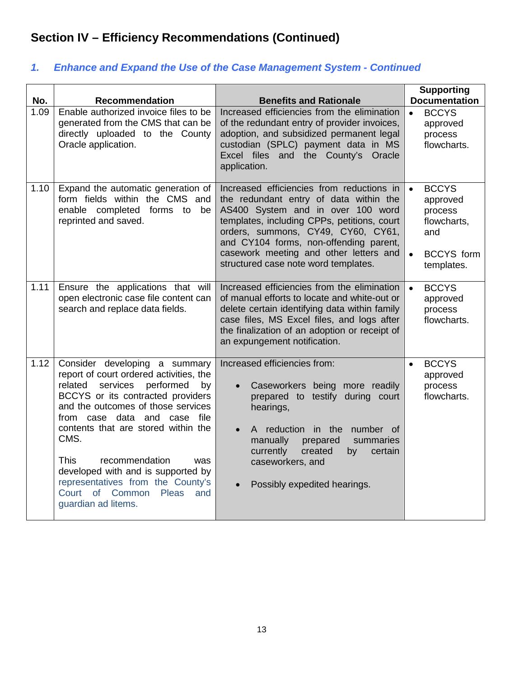| No.  | <b>Recommendation</b>                                                                                                                                                                                                                                                                                                                                                                                                                                         | <b>Benefits and Rationale</b>                                                                                                                                                                                                                                                                                                             | <b>Supporting</b><br><b>Documentation</b>                                                                              |
|------|---------------------------------------------------------------------------------------------------------------------------------------------------------------------------------------------------------------------------------------------------------------------------------------------------------------------------------------------------------------------------------------------------------------------------------------------------------------|-------------------------------------------------------------------------------------------------------------------------------------------------------------------------------------------------------------------------------------------------------------------------------------------------------------------------------------------|------------------------------------------------------------------------------------------------------------------------|
| 1.09 | Enable authorized invoice files to be<br>generated from the CMS that can be<br>directly uploaded to the County<br>Oracle application.                                                                                                                                                                                                                                                                                                                         | Increased efficiencies from the elimination<br>of the redundant entry of provider invoices,<br>adoption, and subsidized permanent legal<br>custodian (SPLC) payment data in MS<br>Excel files and the County's Oracle<br>application.                                                                                                     | <b>BCCYS</b><br>$\bullet$<br>approved<br>process<br>flowcharts.                                                        |
| 1.10 | Expand the automatic generation of<br>form fields within the CMS and<br>enable completed forms to<br>be<br>reprinted and saved.                                                                                                                                                                                                                                                                                                                               | Increased efficiencies from reductions in<br>the redundant entry of data within the<br>AS400 System and in over 100 word<br>templates, including CPPs, petitions, court<br>orders, summons, CY49, CY60, CY61,<br>and CY104 forms, non-offending parent,<br>casework meeting and other letters and<br>structured case note word templates. | <b>BCCYS</b><br>$\bullet$<br>approved<br>process<br>flowcharts,<br>and<br><b>BCCYS</b> form<br>$\bullet$<br>templates. |
| 1.11 | Ensure the applications that will<br>open electronic case file content can<br>search and replace data fields.                                                                                                                                                                                                                                                                                                                                                 | Increased efficiencies from the elimination<br>of manual efforts to locate and white-out or<br>delete certain identifying data within family<br>case files, MS Excel files, and logs after<br>the finalization of an adoption or receipt of<br>an expungement notification.                                                               | <b>BCCYS</b><br>$\bullet$<br>approved<br>process<br>flowcharts.                                                        |
| 1.12 | Consider developing a summary<br>report of court ordered activities, the<br>services performed<br>related<br>by<br>BCCYS or its contracted providers<br>and the outcomes of those services<br>from case data and case file<br>contents that are stored within the<br>CMS.<br><b>This</b><br>recommendation<br>was<br>developed with and is supported by<br>representatives from the County's<br>Court of Common<br><b>Pleas</b><br>and<br>guardian ad litems. | Increased efficiencies from:<br>Caseworkers being more readily<br>$\bullet$<br>prepared to testify during court<br>hearings,<br>A reduction in the number of<br>$\bullet$<br>manually<br>prepared<br>summaries<br>currently<br>created<br>certain<br>by<br>caseworkers, and<br>Possibly expedited hearings.<br>$\bullet$                  | <b>BCCYS</b><br>$\bullet$<br>approved<br>process<br>flowcharts.                                                        |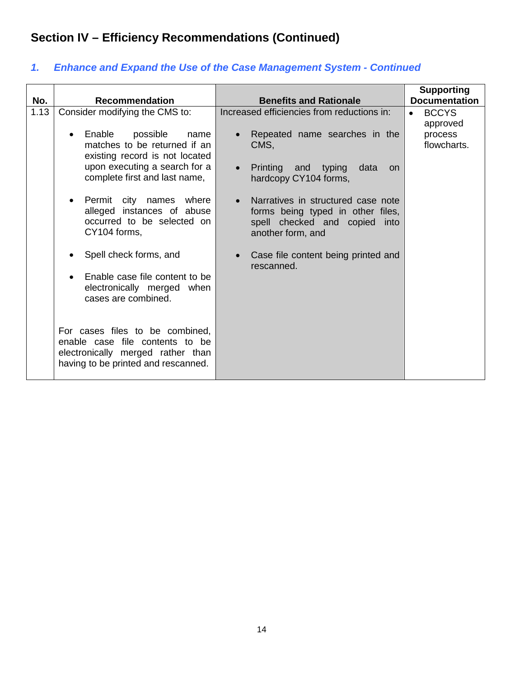| No.  | <b>Recommendation</b>                                                                                                                                                                                                                                                                                                             | <b>Benefits and Rationale</b>                                                                                                                                                                                                                                                                                            | <b>Supporting</b><br><b>Documentation</b>                       |
|------|-----------------------------------------------------------------------------------------------------------------------------------------------------------------------------------------------------------------------------------------------------------------------------------------------------------------------------------|--------------------------------------------------------------------------------------------------------------------------------------------------------------------------------------------------------------------------------------------------------------------------------------------------------------------------|-----------------------------------------------------------------|
| 1.13 | Consider modifying the CMS to:<br>Enable<br>possible<br>name<br>$\bullet$<br>matches to be returned if an<br>existing record is not located<br>upon executing a search for a<br>complete first and last name,<br>Permit city names where<br>$\bullet$<br>alleged instances of abuse<br>occurred to be selected on<br>CY104 forms, | Increased efficiencies from reductions in:<br>Repeated name searches in the<br>$\bullet$<br>CMS,<br>• Printing and typing<br>data<br><b>on</b><br>hardcopy CY104 forms,<br>Narratives in structured case note<br>$\bullet$<br>forms being typed in other files,<br>spell checked and copied<br>into<br>another form, and | <b>BCCYS</b><br>$\bullet$<br>approved<br>process<br>flowcharts. |
|      | Spell check forms, and<br>Enable case file content to be<br>$\bullet$<br>electronically merged when<br>cases are combined.<br>For cases files to be combined,<br>enable case file contents to be<br>electronically merged rather than<br>having to be printed and rescanned.                                                      | Case file content being printed and<br>$\bullet$<br>rescanned.                                                                                                                                                                                                                                                           |                                                                 |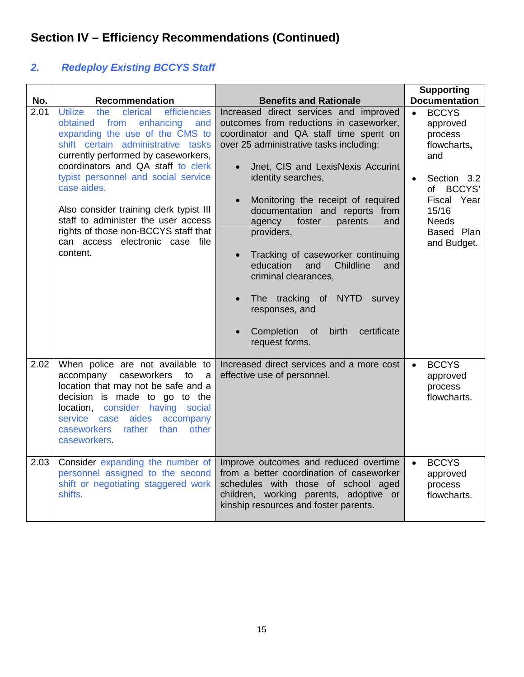## *2. Redeploy Existing BCCYS Staff*

| No.  | <b>Recommendation</b>                                                                                                                                                                                                                                                                                                                                                                                                                                                       | <b>Benefits and Rationale</b>                                                                                                                                                                                                                                                                                                                                                                                                                                                                                                                                                                                                         | <b>Supporting</b><br><b>Documentation</b>                                                                                                                                            |
|------|-----------------------------------------------------------------------------------------------------------------------------------------------------------------------------------------------------------------------------------------------------------------------------------------------------------------------------------------------------------------------------------------------------------------------------------------------------------------------------|---------------------------------------------------------------------------------------------------------------------------------------------------------------------------------------------------------------------------------------------------------------------------------------------------------------------------------------------------------------------------------------------------------------------------------------------------------------------------------------------------------------------------------------------------------------------------------------------------------------------------------------|--------------------------------------------------------------------------------------------------------------------------------------------------------------------------------------|
| 2.01 | <b>Utilize</b><br>efficiencies<br>the<br>clerical<br>obtained from<br>enhancing<br>and<br>expanding the use of the CMS to<br>shift certain administrative tasks<br>currently performed by caseworkers,<br>coordinators and QA staff to clerk<br>typist personnel and social service<br>case aides.<br>Also consider training clerk typist III<br>staff to administer the user access<br>rights of those non-BCCYS staff that<br>can access electronic case file<br>content. | Increased direct services and improved<br>outcomes from reductions in caseworker,<br>coordinator and QA staff time spent on<br>over 25 administrative tasks including:<br>Jnet, CIS and LexisNexis Accurint<br>$\bullet$<br>identity searches,<br>Monitoring the receipt of required<br>$\bullet$<br>documentation and reports from<br>foster<br>parents<br>agency<br>and<br>providers,<br>Tracking of caseworker continuing<br>$\bullet$<br>education<br>and<br>Childline<br>and<br>criminal clearances,<br>The tracking of NYTD survey<br>responses, and<br>birth<br>certificate<br>Completion<br>of<br>$\bullet$<br>request forms. | <b>BCCYS</b><br>$\bullet$<br>approved<br>process<br>flowcharts,<br>and<br>Section 3.2<br>$\bullet$<br>of BCCYS'<br>Fiscal Year<br>15/16<br><b>Needs</b><br>Based Plan<br>and Budget. |
| 2.02 | When police are not available to<br>accompany caseworkers<br>to<br>a<br>location that may not be safe and a<br>decision is made to go to the<br>location, consider having social<br>service case<br>aides<br>accompany<br>caseworkers rather<br>than<br>other<br>caseworkers.                                                                                                                                                                                               | Increased direct services and a more cost<br>effective use of personnel.                                                                                                                                                                                                                                                                                                                                                                                                                                                                                                                                                              | <b>BCCYS</b><br>$\bullet$<br>approved<br>process<br>flowcharts.                                                                                                                      |
| 2.03 | Consider expanding the number of<br>personnel assigned to the second<br>shift or negotiating staggered work<br>shifts.                                                                                                                                                                                                                                                                                                                                                      | Improve outcomes and reduced overtime<br>from a better coordination of caseworker<br>schedules with those of school aged<br>children, working parents, adoptive or<br>kinship resources and foster parents.                                                                                                                                                                                                                                                                                                                                                                                                                           | <b>BCCYS</b><br>$\bullet$<br>approved<br>process<br>flowcharts.                                                                                                                      |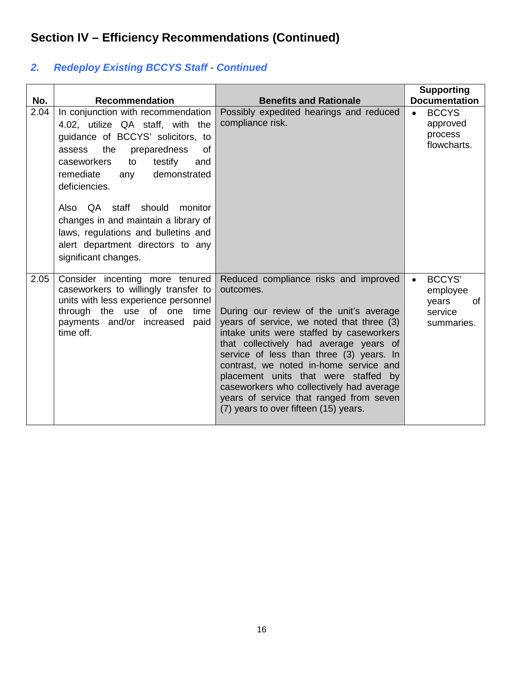## *2. Redeploy Existing BCCYS Staff - Continued*

| No.  | <b>Recommendation</b>                                                                                                                                                                                                                                                                                                                                                                                                      | <b>Benefits and Rationale</b>                                                                                                                                                                                                                                                                                                                                                                                                                                                                  | <b>Supporting</b><br><b>Documentation</b>                         |
|------|----------------------------------------------------------------------------------------------------------------------------------------------------------------------------------------------------------------------------------------------------------------------------------------------------------------------------------------------------------------------------------------------------------------------------|------------------------------------------------------------------------------------------------------------------------------------------------------------------------------------------------------------------------------------------------------------------------------------------------------------------------------------------------------------------------------------------------------------------------------------------------------------------------------------------------|-------------------------------------------------------------------|
| 2.04 | In conjunction with recommendation<br>4.02, utilize QA staff, with the<br>guidance of BCCYS' solicitors, to<br>the<br>preparedness<br>0f<br>assess<br>caseworkers<br>testify<br>to<br>and<br>demonstrated<br>remediate<br>any<br>deficiencies.<br>Also QA staff should monitor<br>changes in and maintain a library of<br>laws, regulations and bulletins and<br>alert department directors to any<br>significant changes. | Possibly expedited hearings and reduced<br>compliance risk.                                                                                                                                                                                                                                                                                                                                                                                                                                    | <b>BCCYS</b><br>$\bullet$<br>approved<br>process<br>flowcharts.   |
| 2.05 | Consider incenting more tenured<br>caseworkers to willingly transfer to<br>units with less experience personnel<br>through the use of one time<br>payments and/or increased<br>paid<br>time off.                                                                                                                                                                                                                           | Reduced compliance risks and improved<br>outcomes.<br>During our review of the unit's average<br>years of service, we noted that three (3)<br>intake units were staffed by caseworkers<br>that collectively had average years of<br>service of less than three (3) years. In<br>contrast, we noted in-home service and<br>placement units that were staffed by<br>caseworkers who collectively had average<br>years of service that ranged from seven<br>(7) years to over fifteen (15) years. | <b>BCCYS'</b><br>employee<br>of<br>years<br>service<br>summaries. |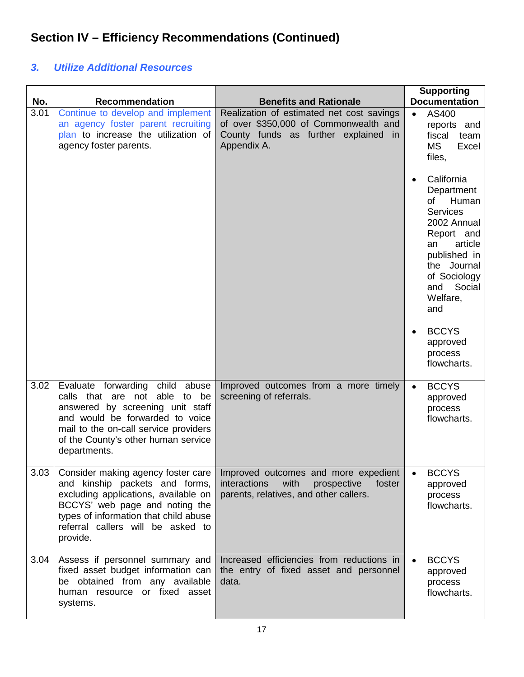### *3. Utilize Additional Resources*

| No.  | <b>Recommendation</b>                                                                                                                                                                                                                    | <b>Benefits and Rationale</b>                                                                                                             | <b>Supporting</b><br><b>Documentation</b>                                                                                                                                                             |
|------|------------------------------------------------------------------------------------------------------------------------------------------------------------------------------------------------------------------------------------------|-------------------------------------------------------------------------------------------------------------------------------------------|-------------------------------------------------------------------------------------------------------------------------------------------------------------------------------------------------------|
| 3.01 | Continue to develop and implement<br>an agency foster parent recruiting<br>plan to increase the utilization of<br>agency foster parents.                                                                                                 | Realization of estimated net cost savings<br>of over \$350,000 of Commonwealth and<br>County funds as further explained in<br>Appendix A. | AS400<br>$\bullet$<br>reports and<br>fiscal<br>team<br><b>MS</b><br>Excel<br>files,                                                                                                                   |
|      |                                                                                                                                                                                                                                          |                                                                                                                                           | California<br>$\bullet$<br>Department<br>of Human<br><b>Services</b><br>2002 Annual<br>Report and<br>article<br>an<br>published in<br>the Journal<br>of Sociology<br>Social<br>and<br>Welfare,<br>and |
|      |                                                                                                                                                                                                                                          |                                                                                                                                           | <b>BCCYS</b><br>$\bullet$<br>approved<br>process<br>flowcharts.                                                                                                                                       |
| 3.02 | Evaluate forwarding child abuse<br>calls that are not able to be<br>answered by screening unit staff<br>and would be forwarded to voice<br>mail to the on-call service providers<br>of the County's other human service<br>departments.  | Improved outcomes from a more timely<br>screening of referrals.                                                                           | <b>BCCYS</b><br>$\bullet$<br>approved<br>process<br>flowcharts.                                                                                                                                       |
| 3.03 | Consider making agency foster care<br>and kinship packets and forms,<br>excluding applications, available on<br>BCCYS' web page and noting the<br>types of information that child abuse<br>referral callers will be asked to<br>provide. | Improved outcomes and more expedient<br>interactions<br>with<br>prospective<br>foster<br>parents, relatives, and other callers.           | <b>BCCYS</b><br>approved<br>process<br>flowcharts.                                                                                                                                                    |
| 3.04 | Assess if personnel summary and<br>fixed asset budget information can<br>be obtained from any available<br>human resource or fixed asset<br>systems.                                                                                     | Increased efficiencies from reductions in<br>the entry of fixed asset and personnel<br>data.                                              | <b>BCCYS</b><br>$\bullet$<br>approved<br>process<br>flowcharts.                                                                                                                                       |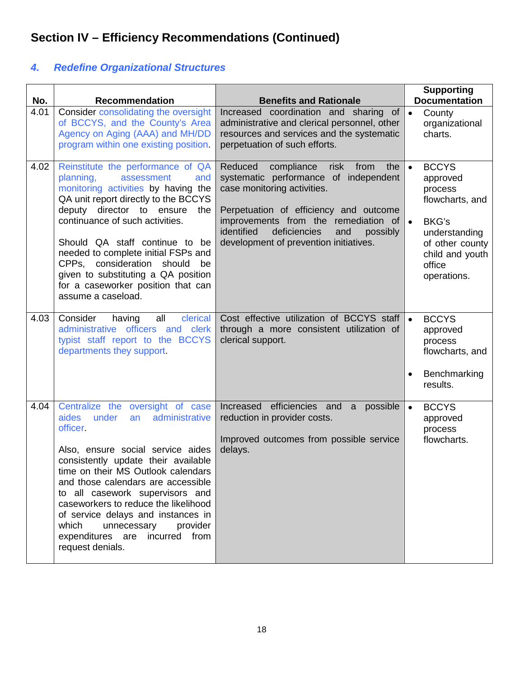## *4. Redefine Organizational Structures*

| No.  | <b>Recommendation</b>                                                                                                                                                                                                                                                                                                                                                                                                                                               | <b>Benefits and Rationale</b>                                                                                                                                                                                                                                                                     | <b>Supporting</b><br><b>Documentation</b>                                                                                                                                        |
|------|---------------------------------------------------------------------------------------------------------------------------------------------------------------------------------------------------------------------------------------------------------------------------------------------------------------------------------------------------------------------------------------------------------------------------------------------------------------------|---------------------------------------------------------------------------------------------------------------------------------------------------------------------------------------------------------------------------------------------------------------------------------------------------|----------------------------------------------------------------------------------------------------------------------------------------------------------------------------------|
| 4.01 | Consider consolidating the oversight<br>of BCCYS, and the County's Area<br>Agency on Aging (AAA) and MH/DD<br>program within one existing position.                                                                                                                                                                                                                                                                                                                 | Increased coordination and sharing of<br>administrative and clerical personnel, other<br>resources and services and the systematic<br>perpetuation of such efforts.                                                                                                                               | $\bullet$<br>County<br>organizational<br>charts.                                                                                                                                 |
| 4.02 | Reinstitute the performance of QA<br>planning,<br>assessment<br>and<br>monitoring activities by having the<br>QA unit report directly to the BCCYS<br>deputy director to ensure<br>the<br>continuance of such activities.<br>Should QA staff continue to be<br>needed to complete initial FSPs and<br>CPPs, consideration should<br>be<br>given to substituting a QA position<br>for a caseworker position that can<br>assume a caseload.                           | Reduced<br>compliance<br>from<br>risk<br>the<br>systematic performance of independent<br>case monitoring activities.<br>Perpetuation of efficiency and outcome<br>improvements from the remediation of<br>identified<br>deficiencies<br>and<br>possibly<br>development of prevention initiatives. | <b>BCCYS</b><br>$\bullet$<br>approved<br>process<br>flowcharts, and<br><b>BKG's</b><br>$\bullet$<br>understanding<br>of other county<br>child and youth<br>office<br>operations. |
| 4.03 | all<br>clerical<br>Consider<br>having<br>administrative officers and clerk<br>typist staff report to the BCCYS<br>departments they support.                                                                                                                                                                                                                                                                                                                         | Cost effective utilization of BCCYS staff<br>through a more consistent utilization of<br>clerical support.                                                                                                                                                                                        | <b>BCCYS</b><br>approved<br>process<br>flowcharts, and<br>Benchmarking<br>$\bullet$<br>results.                                                                                  |
| 4.04 | Centralize the oversight of case<br><b>aides</b><br>under<br>administrative<br>an<br>officer.<br>Also, ensure social service aides<br>consistently update their available<br>time on their MS Outlook calendars<br>and those calendars are accessible<br>to all casework supervisors and<br>caseworkers to reduce the likelihood<br>of service delays and instances in<br>which<br>unnecessary<br>provider<br>expenditures are<br>incurred from<br>request denials. | Increased efficiencies and<br>possible<br>a<br>reduction in provider costs.<br>Improved outcomes from possible service<br>delays.                                                                                                                                                                 | <b>BCCYS</b><br>$\bullet$<br>approved<br>process<br>flowcharts.                                                                                                                  |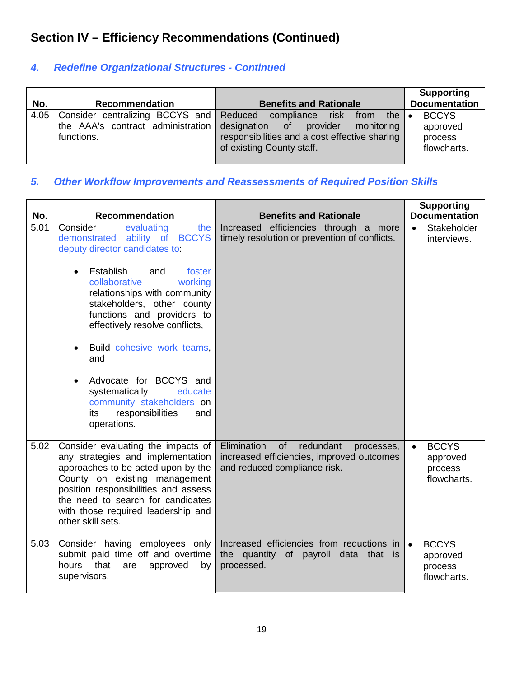### *4. Redefine Organizational Structures - Continued*

|      |                                                 |                                                                                                                                                                                                                  | <b>Supporting</b>                                  |
|------|-------------------------------------------------|------------------------------------------------------------------------------------------------------------------------------------------------------------------------------------------------------------------|----------------------------------------------------|
| No.  | <b>Recommendation</b>                           | <b>Benefits and Rationale</b>                                                                                                                                                                                    | <b>Documentation</b>                               |
| 4.05 | the AAA's contract administration<br>functions. | Consider centralizing BCCYS and Reduced compliance risk from<br>the $\vert \bullet \vert$<br>designation of provider<br>monitoring<br>responsibilities and a cost effective sharing<br>of existing County staff. | <b>BCCYS</b><br>approved<br>process<br>flowcharts. |

### *5. Other Workflow Improvements and Reassessments of Required Position Skills*

| No.  | <b>Recommendation</b>                                                                                                                                                                                                                                                                                                                                                                                                                                                 | <b>Benefits and Rationale</b>                                                                                             | <b>Supporting</b><br><b>Documentation</b>                       |  |
|------|-----------------------------------------------------------------------------------------------------------------------------------------------------------------------------------------------------------------------------------------------------------------------------------------------------------------------------------------------------------------------------------------------------------------------------------------------------------------------|---------------------------------------------------------------------------------------------------------------------------|-----------------------------------------------------------------|--|
| 5.01 | Consider<br>evaluating<br>the<br>ability of BCCYS<br>demonstrated<br>deputy director candidates to:<br>Establish<br>and<br>foster<br>collaborative<br>working<br>relationships with community<br>stakeholders, other county<br>functions and providers to<br>effectively resolve conflicts,<br>Build cohesive work teams,<br>and<br>Advocate for BCCYS and<br>systematically<br>educate<br>community stakeholders on<br>responsibilities<br>its<br>and<br>operations. | Increased efficiencies through a more<br>timely resolution or prevention of conflicts.                                    | Stakeholder<br>$\bullet$<br>interviews.                         |  |
| 5.02 | Consider evaluating the impacts of<br>any strategies and implementation<br>approaches to be acted upon by the<br>County on existing management<br>position responsibilities and assess<br>the need to search for candidates<br>with those required leadership and<br>other skill sets.                                                                                                                                                                                | Elimination<br>of<br>redundant<br>processes,<br>increased efficiencies, improved outcomes<br>and reduced compliance risk. | <b>BCCYS</b><br>$\bullet$<br>approved<br>process<br>flowcharts. |  |
| 5.03 | Consider having employees only<br>submit paid time off and overtime<br>that<br>hours<br>approved<br>are<br>by<br>supervisors.                                                                                                                                                                                                                                                                                                                                         | Increased efficiencies from reductions in<br>the quantity of payroll data that is<br>processed.                           | <b>BCCYS</b><br>$\bullet$<br>approved<br>process<br>flowcharts. |  |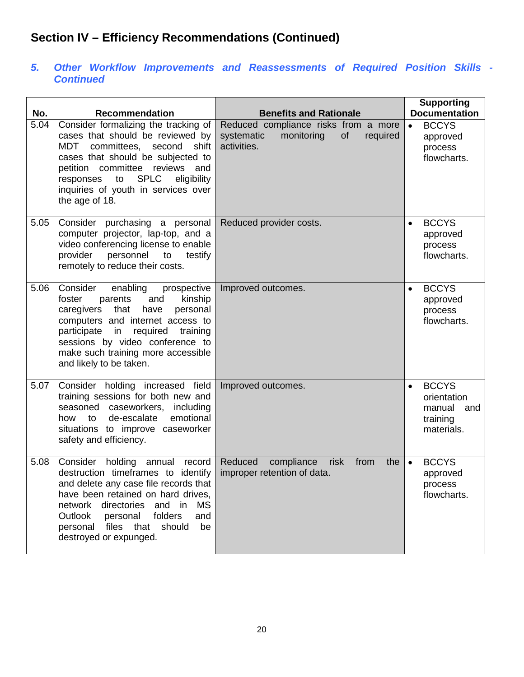#### *5. Other Workflow Improvements and Reassessments of Required Position Skills - Continued*

| No.  | <b>Recommendation</b>                                                                                                                                                                                                                                                                                       | <b>Benefits and Rationale</b>                                                                     | <b>Supporting</b><br><b>Documentation</b>                                           |
|------|-------------------------------------------------------------------------------------------------------------------------------------------------------------------------------------------------------------------------------------------------------------------------------------------------------------|---------------------------------------------------------------------------------------------------|-------------------------------------------------------------------------------------|
| 5.04 | Consider formalizing the tracking of<br>cases that should be reviewed by<br>MDT<br>committees, second<br>shift<br>cases that should be subjected to<br>petition committee<br>reviews<br>and<br><b>SPLC</b><br>responses<br>to<br>eligibility<br>inquiries of youth in services over<br>the age of 18.       | Reduced compliance risks from a more<br>systematic<br>monitoring<br>of<br>required<br>activities. | <b>BCCYS</b><br>$\bullet$<br>approved<br>process<br>flowcharts.                     |
| 5.05 | Consider purchasing a personal<br>computer projector, lap-top, and a<br>video conferencing license to enable<br>provider<br>personnel to<br>testify<br>remotely to reduce their costs.                                                                                                                      | Reduced provider costs.                                                                           | <b>BCCYS</b><br>$\bullet$<br>approved<br>process<br>flowcharts.                     |
| 5.06 | Consider<br>enabling<br>prospective<br>kinship<br>foster<br>parents<br>and<br>caregivers that<br>have<br>personal<br>computers and internet access to<br>participate in<br>required<br>training<br>sessions by video conference to<br>make such training more accessible<br>and likely to be taken.         | Improved outcomes.                                                                                | <b>BCCYS</b><br>$\bullet$<br>approved<br>process<br>flowcharts.                     |
| 5.07 | Consider holding increased field<br>training sessions for both new and<br>seasoned caseworkers, including<br>emotional<br>how to de-escalate<br>situations to improve caseworker<br>safety and efficiency.                                                                                                  | Improved outcomes.                                                                                | <b>BCCYS</b><br>$\bullet$<br>orientation<br>manual<br>and<br>training<br>materials. |
| 5.08 | Consider holding annual<br>record<br>destruction timeframes to identify<br>and delete any case file records that<br>have been retained on hard drives,<br>network directories and in<br><b>MS</b><br>folders<br>Outlook<br>personal<br>and<br>personal files that<br>should<br>be<br>destroyed or expunged. | Reduced<br>compliance<br>risk<br>from<br>the<br>improper retention of data.                       | <b>BCCYS</b><br>$\bullet$<br>approved<br>process<br>flowcharts.                     |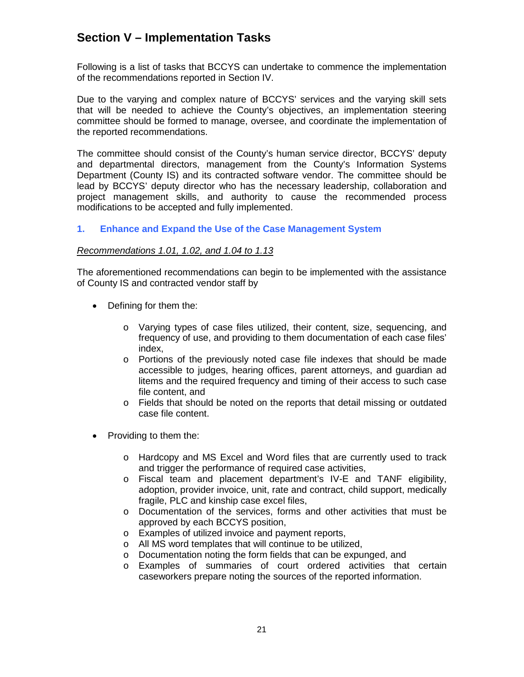### **Section V – Implementation Tasks**

Following is a list of tasks that BCCYS can undertake to commence the implementation of the recommendations reported in Section IV.

Due to the varying and complex nature of BCCYS' services and the varying skill sets that will be needed to achieve the County's objectives, an implementation steering committee should be formed to manage, oversee, and coordinate the implementation of the reported recommendations.

The committee should consist of the County's human service director, BCCYS' deputy and departmental directors, management from the County's Information Systems Department (County IS) and its contracted software vendor. The committee should be lead by BCCYS' deputy director who has the necessary leadership, collaboration and project management skills, and authority to cause the recommended process modifications to be accepted and fully implemented.

#### **1. Enhance and Expand the Use of the Case Management System**

#### *Recommendations 1.01, 1.02, and 1.04 to 1.13*

The aforementioned recommendations can begin to be implemented with the assistance of County IS and contracted vendor staff by

- Defining for them the:
	- o Varying types of case files utilized, their content, size, sequencing, and frequency of use, and providing to them documentation of each case files' index,
	- o Portions of the previously noted case file indexes that should be made accessible to judges, hearing offices, parent attorneys, and guardian ad litems and the required frequency and timing of their access to such case file content, and
	- o Fields that should be noted on the reports that detail missing or outdated case file content.
- Providing to them the:
	- o Hardcopy and MS Excel and Word files that are currently used to track and trigger the performance of required case activities,
	- o Fiscal team and placement department's IV-E and TANF eligibility, adoption, provider invoice, unit, rate and contract, child support, medically fragile, PLC and kinship case excel files,
	- o Documentation of the services, forms and other activities that must be approved by each BCCYS position,
	- o Examples of utilized invoice and payment reports,
	- o All MS word templates that will continue to be utilized,
	- o Documentation noting the form fields that can be expunged, and
	- o Examples of summaries of court ordered activities that certain caseworkers prepare noting the sources of the reported information.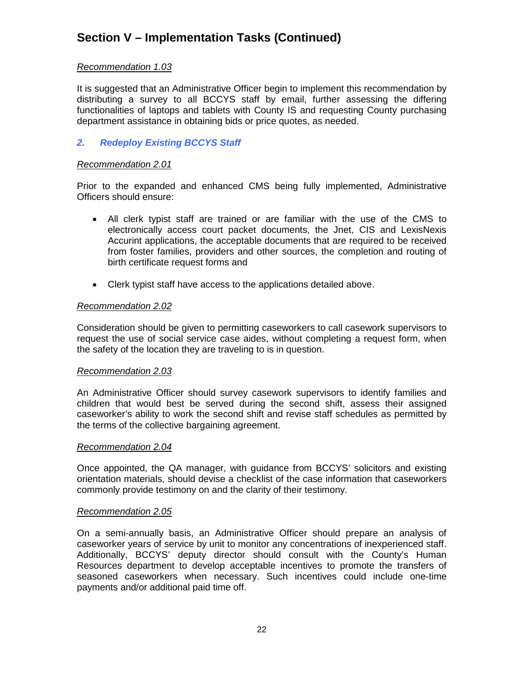## **Section V – Implementation Tasks (Continued)**

#### *Recommendation 1.03*

It is suggested that an Administrative Officer begin to implement this recommendation by distributing a survey to all BCCYS staff by email, further assessing the differing functionalities of laptops and tablets with County IS and requesting County purchasing department assistance in obtaining bids or price quotes, as needed.

#### *2. Redeploy Existing BCCYS Staff*

#### *Recommendation 2.01*

Prior to the expanded and enhanced CMS being fully implemented, Administrative Officers should ensure:

- All clerk typist staff are trained or are familiar with the use of the CMS to electronically access court packet documents, the Jnet, CIS and LexisNexis Accurint applications, the acceptable documents that are required to be received from foster families, providers and other sources, the completion and routing of birth certificate request forms and
- Clerk typist staff have access to the applications detailed above.

#### *Recommendation 2.02*

Consideration should be given to permitting caseworkers to call casework supervisors to request the use of social service case aides, without completing a request form, when the safety of the location they are traveling to is in question.

#### *Recommendation 2.03*

An Administrative Officer should survey casework supervisors to identify families and children that would best be served during the second shift, assess their assigned caseworker's ability to work the second shift and revise staff schedules as permitted by the terms of the collective bargaining agreement.

#### *Recommendation 2.04*

Once appointed, the QA manager, with guidance from BCCYS' solicitors and existing orientation materials, should devise a checklist of the case information that caseworkers commonly provide testimony on and the clarity of their testimony.

#### *Recommendation 2.05*

On a semi-annually basis, an Administrative Officer should prepare an analysis of caseworker years of service by unit to monitor any concentrations of inexperienced staff. Additionally, BCCYS' deputy director should consult with the County's Human Resources department to develop acceptable incentives to promote the transfers of seasoned caseworkers when necessary. Such incentives could include one-time payments and/or additional paid time off.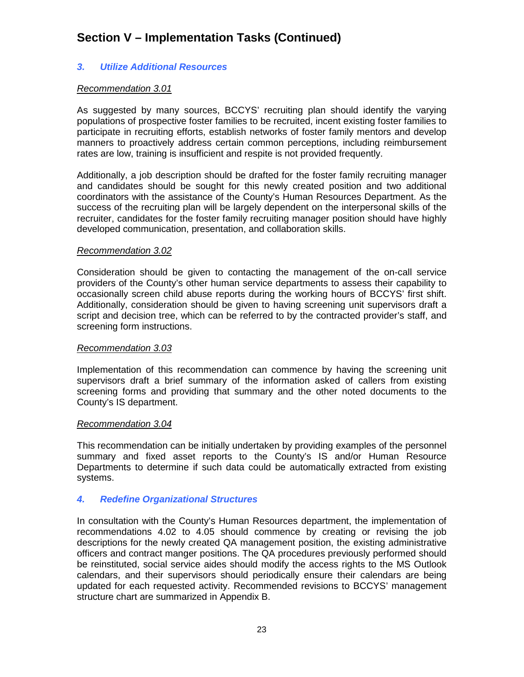## **Section V – Implementation Tasks (Continued)**

#### *3. Utilize Additional Resources*

#### *Recommendation 3.01*

As suggested by many sources, BCCYS' recruiting plan should identify the varying populations of prospective foster families to be recruited, incent existing foster families to participate in recruiting efforts, establish networks of foster family mentors and develop manners to proactively address certain common perceptions, including reimbursement rates are low, training is insufficient and respite is not provided frequently.

Additionally, a job description should be drafted for the foster family recruiting manager and candidates should be sought for this newly created position and two additional coordinators with the assistance of the County's Human Resources Department. As the success of the recruiting plan will be largely dependent on the interpersonal skills of the recruiter, candidates for the foster family recruiting manager position should have highly developed communication, presentation, and collaboration skills.

#### *Recommendation 3.02*

Consideration should be given to contacting the management of the on-call service providers of the County's other human service departments to assess their capability to occasionally screen child abuse reports during the working hours of BCCYS' first shift. Additionally, consideration should be given to having screening unit supervisors draft a script and decision tree, which can be referred to by the contracted provider's staff, and screening form instructions.

#### *Recommendation 3.03*

Implementation of this recommendation can commence by having the screening unit supervisors draft a brief summary of the information asked of callers from existing screening forms and providing that summary and the other noted documents to the County's IS department.

#### *Recommendation 3.04*

This recommendation can be initially undertaken by providing examples of the personnel summary and fixed asset reports to the County's IS and/or Human Resource Departments to determine if such data could be automatically extracted from existing systems.

#### *4. Redefine Organizational Structures*

In consultation with the County's Human Resources department, the implementation of recommendations 4.02 to 4.05 should commence by creating or revising the job descriptions for the newly created QA management position, the existing administrative officers and contract manger positions. The QA procedures previously performed should be reinstituted, social service aides should modify the access rights to the MS Outlook calendars, and their supervisors should periodically ensure their calendars are being updated for each requested activity. Recommended revisions to BCCYS' management structure chart are summarized in Appendix B.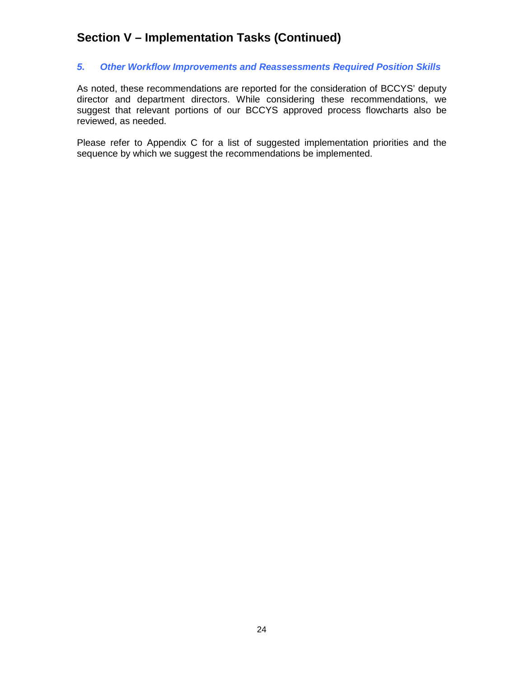### **Section V – Implementation Tasks (Continued)**

#### *5. Other Workflow Improvements and Reassessments Required Position Skills*

As noted, these recommendations are reported for the consideration of BCCYS' deputy director and department directors. While considering these recommendations, we suggest that relevant portions of our BCCYS approved process flowcharts also be reviewed, as needed.

Please refer to Appendix C for a list of suggested implementation priorities and the sequence by which we suggest the recommendations be implemented.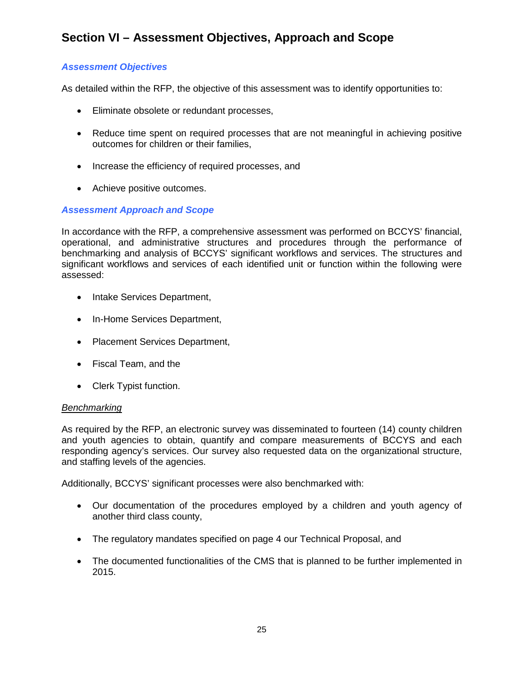## **Section VI – Assessment Objectives, Approach and Scope**

#### *Assessment Objectives*

As detailed within the RFP, the objective of this assessment was to identify opportunities to:

- Eliminate obsolete or redundant processes,
- Reduce time spent on required processes that are not meaningful in achieving positive outcomes for children or their families,
- Increase the efficiency of required processes, and
- Achieve positive outcomes.

#### *Assessment Approach and Scope*

In accordance with the RFP, a comprehensive assessment was performed on BCCYS' financial, operational, and administrative structures and procedures through the performance of benchmarking and analysis of BCCYS' significant workflows and services. The structures and significant workflows and services of each identified unit or function within the following were assessed:

- Intake Services Department,
- In-Home Services Department,
- Placement Services Department,
- Fiscal Team, and the
- Clerk Typist function.

#### *Benchmarking*

As required by the RFP, an electronic survey was disseminated to fourteen (14) county children and youth agencies to obtain, quantify and compare measurements of BCCYS and each responding agency's services. Our survey also requested data on the organizational structure, and staffing levels of the agencies.

Additionally, BCCYS' significant processes were also benchmarked with:

- Our documentation of the procedures employed by a children and youth agency of another third class county,
- The regulatory mandates specified on page 4 our Technical Proposal, and
- The documented functionalities of the CMS that is planned to be further implemented in 2015.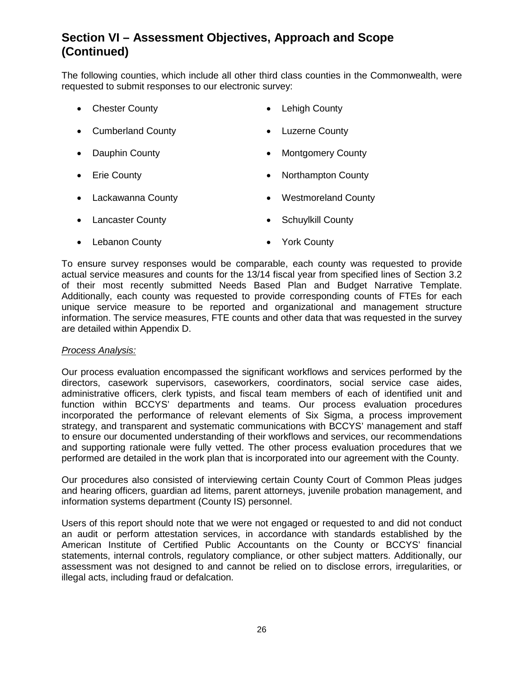## **Section VI – Assessment Objectives, Approach and Scope (Continued)**

The following counties, which include all other third class counties in the Commonwealth, were requested to submit responses to our electronic survey:

- Chester County  **Lehigh County**
- Cumberland County Luzerne County
- Dauphin County  **Montgomery County**
- Erie County  **Northampton County**
- Lackawanna County **•** Westmoreland County
- Lancaster County  **Schuylkill County**
- Lebanon County  **York County**

To ensure survey responses would be comparable, each county was requested to provide actual service measures and counts for the 13/14 fiscal year from specified lines of Section 3.2 of their most recently submitted Needs Based Plan and Budget Narrative Template. Additionally, each county was requested to provide corresponding counts of FTEs for each unique service measure to be reported and organizational and management structure information. The service measures, FTE counts and other data that was requested in the survey are detailed within Appendix D.

#### *Process Analysis:*

Our process evaluation encompassed the significant workflows and services performed by the directors, casework supervisors, caseworkers, coordinators, social service case aides, administrative officers, clerk typists, and fiscal team members of each of identified unit and function within BCCYS' departments and teams. Our process evaluation procedures incorporated the performance of relevant elements of Six Sigma, a process improvement strategy, and transparent and systematic communications with BCCYS' management and staff to ensure our documented understanding of their workflows and services, our recommendations and supporting rationale were fully vetted. The other process evaluation procedures that we performed are detailed in the work plan that is incorporated into our agreement with the County.

Our procedures also consisted of interviewing certain County Court of Common Pleas judges and hearing officers, guardian ad litems, parent attorneys, juvenile probation management, and information systems department (County IS) personnel.

Users of this report should note that we were not engaged or requested to and did not conduct an audit or perform attestation services, in accordance with standards established by the American Institute of Certified Public Accountants on the County or BCCYS' financial statements, internal controls, regulatory compliance, or other subject matters. Additionally, our assessment was not designed to and cannot be relied on to disclose errors, irregularities, or illegal acts, including fraud or defalcation.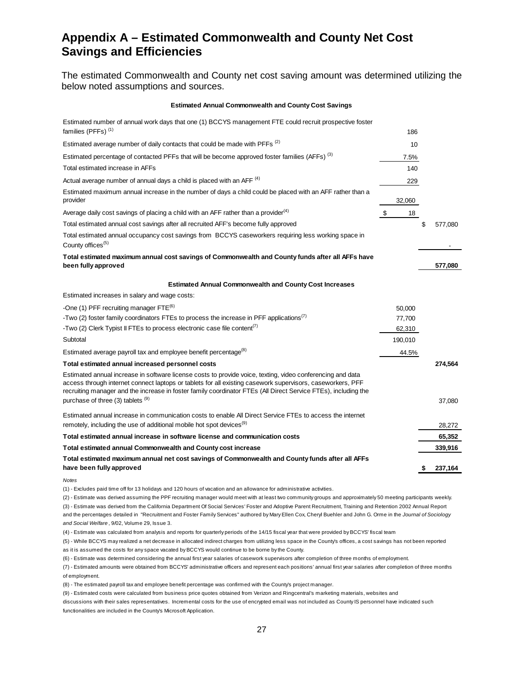### **Appendix A – Estimated Commonwealth and County Net Cost Savings and Efficiencies**

The estimated Commonwealth and County net cost saving amount was determined utilizing the below noted assumptions and sources.

#### **Estimated Annual Commonwealth and County Cost Savings**

| Estimated number of annual work days that one (1) BCCYS management FTE could recruit prospective foster<br>families (PFFs) <sup>(1)</sup>                                                                                                                                                                                                  | 186                 |    |         |
|--------------------------------------------------------------------------------------------------------------------------------------------------------------------------------------------------------------------------------------------------------------------------------------------------------------------------------------------|---------------------|----|---------|
| Estimated average number of daily contacts that could be made with PFFs <sup>(2)</sup>                                                                                                                                                                                                                                                     | 10                  |    |         |
| Estimated percentage of contacted PFFs that will be become approved foster families (AFFs) <sup>(3)</sup>                                                                                                                                                                                                                                  | 7.5%                |    |         |
| Total estimated increase in AFFs                                                                                                                                                                                                                                                                                                           | 140                 |    |         |
| Actual average number of annual days a child is placed with an AFF <sup>(4)</sup>                                                                                                                                                                                                                                                          | 229                 |    |         |
| Estimated maximum annual increase in the number of days a child could be placed with an AFF rather than a<br>provider                                                                                                                                                                                                                      | 32,060              |    |         |
| Average daily cost savings of placing a child with an AFF rather than a provider <sup>(4)</sup>                                                                                                                                                                                                                                            | $\sqrt[6]{3}$<br>18 |    |         |
| Total estimated annual cost savings after all recruited AFF's become fully approved                                                                                                                                                                                                                                                        |                     | \$ | 577,080 |
| Total estimated annual occupancy cost savings from BCCYS caseworkers requiring less working space in<br>County offices <sup>(5)</sup>                                                                                                                                                                                                      |                     |    |         |
| Total estimated maximum annual cost savings of Commonwealth and County funds after all AFFs have<br>been fully approved                                                                                                                                                                                                                    |                     |    | 577,080 |
| <b>Estimated Annual Commonwealth and County Cost Increases</b>                                                                                                                                                                                                                                                                             |                     |    |         |
| Estimated increases in salary and wage costs:                                                                                                                                                                                                                                                                                              |                     |    |         |
| -One (1) PFF recruiting manager $FTE^{(6)}$                                                                                                                                                                                                                                                                                                | 50,000              |    |         |
| -Two (2) foster family coordinators FTEs to process the increase in PFF applications <sup>(1)</sup>                                                                                                                                                                                                                                        | 77,700              |    |         |
| -Two (2) Clerk Typist II FTEs to process electronic case file content <sup>(1)</sup>                                                                                                                                                                                                                                                       | 62,310              |    |         |
| Subtotal                                                                                                                                                                                                                                                                                                                                   | 190,010             |    |         |
| Estimated average payroll tax and employee benefit percentage <sup>(8)</sup>                                                                                                                                                                                                                                                               | 44.5%               |    |         |
| Total estimated annual increased personnel costs                                                                                                                                                                                                                                                                                           |                     |    | 274,564 |
| Estimated annual increase in software license costs to provide voice, texting, video conferencing and data<br>access through internet connect laptops or tablets for all existing casework supervisors, caseworkers, PFF<br>recruiting manager and the increase in foster family coordinator FTEs (All Direct Service FTEs), including the |                     |    |         |
| purchase of three (3) tablets (9)                                                                                                                                                                                                                                                                                                          |                     |    | 37,080  |
| Estimated annual increase in communication costs to enable All Direct Service FTEs to access the internet<br>remotely, including the use of additional mobile hot spot devices <sup>(9)</sup>                                                                                                                                              |                     |    | 28,272  |
| Total estimated annual increase in software license and communication costs                                                                                                                                                                                                                                                                |                     |    | 65,352  |
| Total estimated annual Commonwealth and County cost increase                                                                                                                                                                                                                                                                               |                     |    | 339,916 |
| Total estimated maximum annual net cost savings of Commonwealth and County funds after all AFFs<br>have been fully approved                                                                                                                                                                                                                |                     | 5  | 237,164 |
| Notes<br>(1). Evoludes paid time off for 13 holidays and 120 hours of vacation and an allowance for administrative activities                                                                                                                                                                                                              |                     |    |         |

(1) - Excludes paid time off for 13 holidays and 120 hours of vacation and an allowance for administrative activities.

(2) - Estimate was derived assuming the PPF recruiting manager would meet with at least two community groups and approximately 50 meeting participants weekly. (3) - Estimate was derived from the California Department Of Social Services' Foster and Adoptive Parent Recruitment, Training and Retention 2002 Annual Report and the percentages detailed in "Recruitment and Foster Family Services" authored by Mary Ellen Cox, Cheryl Buehler and John G. Orme in the *Journal of Sociology and Social Welfare* , 9/02, Volume 29, Issue 3.

(4) - Estimate was calculated from analysis and reports for quarterly periods of the 14/15 fiscal year that were provided by BCCYS' fiscal team

(5) - While BCCYS may realized a net decrease in allocated indirect charges from utilizing less space in the County's offices, a cost savings has not been reported as it is assumed the costs for any space vacated by BCCYS would continue to be borne by the County.

(6) - Estimate was determined considering the annual first year salaries of casework supervisors after completion of three months of employment.

(7) - Estimated amounts were obtained from BCCYS' administrative officers and represent each positions' annual first year salaries after completion of three months of employment.

(8) - The estimated payroll tax and employee benefit percentage was confirmed with the County's project manager.

(9) - Estimated costs were calculated from business price quotes obtained from Verizon and Ringcentral's marketing materials, websites and

discussions with their sales representatives. Incremental costs for the use of encrypted email was not included as County IS personnel have indicated such functionalities are included in the County's Microsoft Application.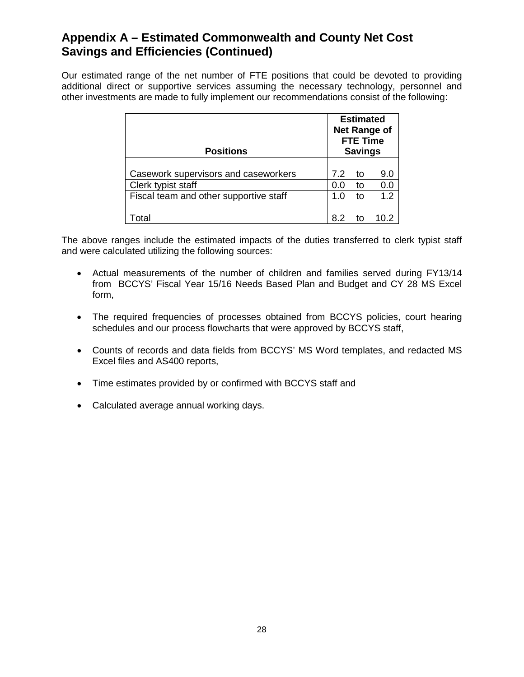### **Appendix A – Estimated Commonwealth and County Net Cost Savings and Efficiencies (Continued)**

Our estimated range of the net number of FTE positions that could be devoted to providing additional direct or supportive services assuming the necessary technology, personnel and other investments are made to fully implement our recommendations consist of the following:

| <b>Positions</b>                                             | <b>Estimated</b><br><b>Net Range of</b><br><b>FTE Time</b><br><b>Savings</b> |          |            |
|--------------------------------------------------------------|------------------------------------------------------------------------------|----------|------------|
| Casework supervisors and caseworkers                         | 7.2                                                                          | to       | 9.0        |
| Clerk typist staff<br>Fiscal team and other supportive staff | 0.0<br>1.0                                                                   | to<br>to | 0.0<br>1.2 |
| otal                                                         |                                                                              |          |            |

The above ranges include the estimated impacts of the duties transferred to clerk typist staff and were calculated utilizing the following sources:

- Actual measurements of the number of children and families served during FY13/14 from BCCYS' Fiscal Year 15/16 Needs Based Plan and Budget and CY 28 MS Excel form,
- The required frequencies of processes obtained from BCCYS policies, court hearing schedules and our process flowcharts that were approved by BCCYS staff,
- Counts of records and data fields from BCCYS' MS Word templates, and redacted MS Excel files and AS400 reports,
- Time estimates provided by or confirmed with BCCYS staff and
- Calculated average annual working days.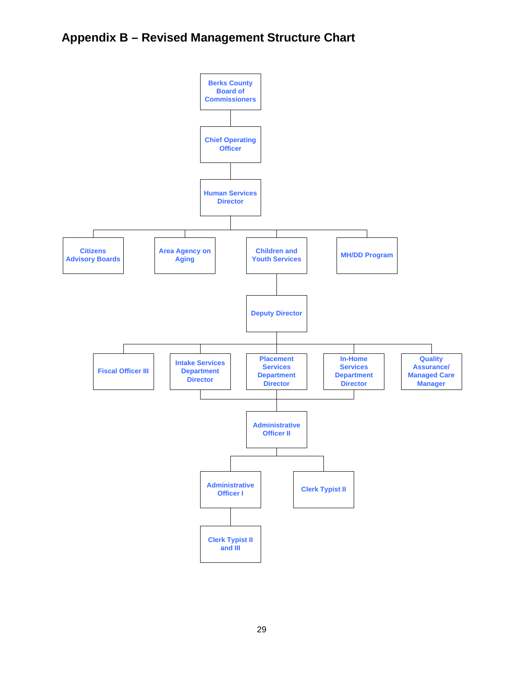## **Appendix B – Revised Management Structure Chart**

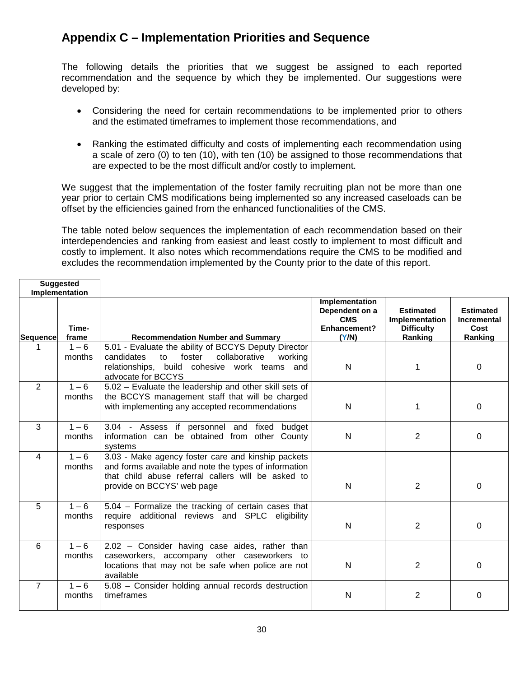### **Appendix C – Implementation Priorities and Sequence**

The following details the priorities that we suggest be assigned to each reported recommendation and the sequence by which they be implemented. Our suggestions were developed by:

- Considering the need for certain recommendations to be implemented prior to others and the estimated timeframes to implement those recommendations, and
- Ranking the estimated difficulty and costs of implementing each recommendation using a scale of zero (0) to ten (10), with ten (10) be assigned to those recommendations that are expected to be the most difficult and/or costly to implement.

We suggest that the implementation of the foster family recruiting plan not be more than one year prior to certain CMS modifications being implemented so any increased caseloads can be offset by the efficiencies gained from the enhanced functionalities of the CMS.

The table noted below sequences the implementation of each recommendation based on their interdependencies and ranking from easiest and least costly to implement to most difficult and costly to implement. It also notes which recommendations require the CMS to be modified and excludes the recommendation implemented by the County prior to the date of this report.

|                | <b>Suggested</b><br>Implementation |                                                                                                                                                                                                 |                                                                         |                                                                    |                                                           |
|----------------|------------------------------------|-------------------------------------------------------------------------------------------------------------------------------------------------------------------------------------------------|-------------------------------------------------------------------------|--------------------------------------------------------------------|-----------------------------------------------------------|
| Sequence       | Time-<br>frame                     | <b>Recommendation Number and Summary</b>                                                                                                                                                        | Implementation<br>Dependent on a<br><b>CMS</b><br>Enhancement?<br>(Y/N) | <b>Estimated</b><br>Implementation<br><b>Difficulty</b><br>Ranking | <b>Estimated</b><br><b>Incremental</b><br>Cost<br>Ranking |
| 1.             | $1 - 6$<br>months                  | 5.01 - Evaluate the ability of BCCYS Deputy Director<br>collaborative<br>foster<br>candidates<br>to                                                                                             |                                                                         |                                                                    |                                                           |
|                |                                    | working<br>relationships, build cohesive work teams and<br>advocate for BCCYS                                                                                                                   | $\mathsf{N}$                                                            | 1                                                                  | 0                                                         |
| $\overline{2}$ | $1 - 6$<br>months                  | 5.02 - Evaluate the leadership and other skill sets of<br>the BCCYS management staff that will be charged<br>with implementing any accepted recommendations                                     | N                                                                       | 1                                                                  | $\Omega$                                                  |
| $\overline{3}$ | $1 - 6$<br>months                  | 3.04 - Assess if personnel and fixed<br>budget<br>information can be obtained from other County<br>systems                                                                                      | N                                                                       | 2                                                                  | 0                                                         |
| 4              | $1 - 6$<br>months                  | 3.03 - Make agency foster care and kinship packets<br>and forms available and note the types of information<br>that child abuse referral callers will be asked to<br>provide on BCCYS' web page | N                                                                       | $\overline{2}$                                                     | 0                                                         |
| 5              | $1 - 6$<br>months                  | 5.04 - Formalize the tracking of certain cases that<br>require additional reviews and SPLC eligibility<br>responses                                                                             | N                                                                       | $\overline{2}$                                                     | 0                                                         |
| 6              | $1 - 6$<br>months                  | 2.02 - Consider having case aides, rather than<br>caseworkers, accompany other caseworkers to<br>locations that may not be safe when police are not<br>available                                | N                                                                       | $\overline{2}$                                                     | 0                                                         |
| $\overline{7}$ | $1 - 6$<br>months                  | 5.08 - Consider holding annual records destruction<br>timeframes                                                                                                                                | N                                                                       | $\overline{2}$                                                     | 0                                                         |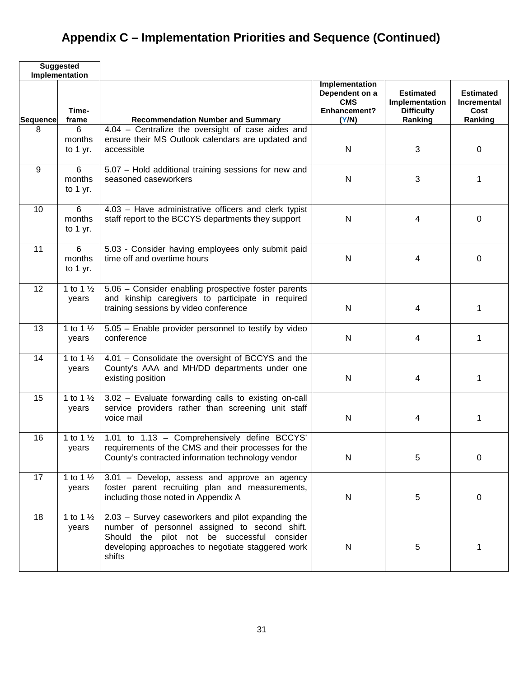# **Appendix C – Implementation Priorities and Sequence (Continued)**

|                 | <b>Suggested</b><br>Implementation     |                                                                                                                                                                                                                  |                                                                         |                                                                    |                                                           |
|-----------------|----------------------------------------|------------------------------------------------------------------------------------------------------------------------------------------------------------------------------------------------------------------|-------------------------------------------------------------------------|--------------------------------------------------------------------|-----------------------------------------------------------|
| <b>Sequence</b> | Time-<br>frame                         | <b>Recommendation Number and Summary</b>                                                                                                                                                                         | Implementation<br>Dependent on a<br><b>CMS</b><br>Enhancement?<br>(Y/N) | <b>Estimated</b><br>Implementation<br><b>Difficulty</b><br>Ranking | <b>Estimated</b><br><b>Incremental</b><br>Cost<br>Ranking |
| 8               | 6<br>months<br>to $1$ yr.              | 4.04 - Centralize the oversight of case aides and<br>ensure their MS Outlook calendars are updated and<br>accessible                                                                                             | ${\sf N}$                                                               | 3                                                                  | $\mathbf 0$                                               |
| $9\,$           | 6<br>months<br>to $1$ yr.              | 5.07 - Hold additional training sessions for new and<br>seasoned caseworkers                                                                                                                                     | ${\sf N}$                                                               | 3                                                                  | 1                                                         |
| 10              | $6\phantom{1}$<br>months<br>to $1$ yr. | 4.03 - Have administrative officers and clerk typist<br>staff report to the BCCYS departments they support                                                                                                       | ${\sf N}$                                                               | 4                                                                  | 0                                                         |
| 11              | 6<br>months<br>to $1$ yr.              | 5.03 - Consider having employees only submit paid<br>time off and overtime hours                                                                                                                                 | $\mathsf{N}$                                                            | 4                                                                  | 0                                                         |
| 12              | 1 to 1 $\frac{1}{2}$<br>years          | 5.06 - Consider enabling prospective foster parents<br>and kinship caregivers to participate in required<br>training sessions by video conference                                                                | $\mathsf{N}$                                                            | 4                                                                  | 1                                                         |
| 13              | 1 to 1 $\frac{1}{2}$<br>years          | 5.05 - Enable provider personnel to testify by video<br>conference                                                                                                                                               | $\mathsf{N}$                                                            | 4                                                                  | 1                                                         |
| 14              | 1 to 1 $\frac{1}{2}$<br>years          | 4.01 - Consolidate the oversight of BCCYS and the<br>County's AAA and MH/DD departments under one<br>existing position                                                                                           | N                                                                       | 4                                                                  | 1                                                         |
| 15              | 1 to 1 $\frac{1}{2}$<br>years          | 3.02 - Evaluate forwarding calls to existing on-call<br>service providers rather than screening unit staff<br>voice mail                                                                                         | N                                                                       | 4                                                                  | 1                                                         |
| 16              | 1 to 1 $\frac{1}{2}$<br>years          | 1.01 to 1.13 - Comprehensively define BCCYS'<br>requirements of the CMS and their processes for the<br>County's contracted information technology vendor                                                         | $\mathsf{N}$                                                            | 5                                                                  | $\pmb{0}$                                                 |
| 17              | 1 to 1 $\frac{1}{2}$<br>years          | 3.01 - Develop, assess and approve an agency<br>foster parent recruiting plan and measurements,<br>including those noted in Appendix A                                                                           | ${\sf N}$                                                               | 5                                                                  | $\mathbf 0$                                               |
| 18              | 1 to 1 $\frac{1}{2}$<br>years          | 2.03 - Survey caseworkers and pilot expanding the<br>number of personnel assigned to second shift.<br>Should the pilot not be successful consider<br>developing approaches to negotiate staggered work<br>shifts | ${\sf N}$                                                               | 5                                                                  | 1                                                         |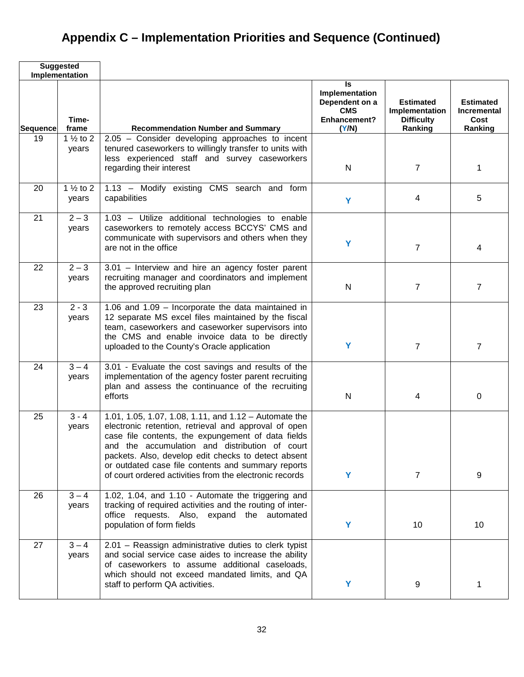## **Appendix C – Implementation Priorities and Sequence (Continued)**

| <b>Suggested</b><br>Implementation |                                              |                                                                                                                                                                                                                                                                                                                                                                                                 |                                                                               |                                                                    |                                                           |
|------------------------------------|----------------------------------------------|-------------------------------------------------------------------------------------------------------------------------------------------------------------------------------------------------------------------------------------------------------------------------------------------------------------------------------------------------------------------------------------------------|-------------------------------------------------------------------------------|--------------------------------------------------------------------|-----------------------------------------------------------|
| Sequence                           | Time-<br>frame                               | <b>Recommendation Number and Summary</b>                                                                                                                                                                                                                                                                                                                                                        | ls<br>Implementation<br>Dependent on a<br><b>CMS</b><br>Enhancement?<br>(Y/N) | <b>Estimated</b><br>Implementation<br><b>Difficulty</b><br>Ranking | <b>Estimated</b><br><b>Incremental</b><br>Cost<br>Ranking |
| 19                                 | 1 $\frac{1}{2}$ to 2<br>years                | 2.05 - Consider developing approaches to incent<br>tenured caseworkers to willingly transfer to units with<br>less experienced staff and survey caseworkers<br>regarding their interest                                                                                                                                                                                                         | N                                                                             | $\overline{7}$                                                     | 1                                                         |
| 20                                 | $\overline{1}$ 1/ <sub>2</sub> to 2<br>years | 1.13 - Modify existing CMS search and form<br>capabilities                                                                                                                                                                                                                                                                                                                                      | Y                                                                             | 4                                                                  | 5                                                         |
| 21                                 | $2 - 3$<br>years                             | 1.03 - Utilize additional technologies to enable<br>caseworkers to remotely access BCCYS' CMS and<br>communicate with supervisors and others when they<br>are not in the office                                                                                                                                                                                                                 | Y                                                                             | $\overline{7}$                                                     | 4                                                         |
| 22                                 | $2 - 3$<br>years                             | 3.01 - Interview and hire an agency foster parent<br>recruiting manager and coordinators and implement<br>the approved recruiting plan                                                                                                                                                                                                                                                          | N                                                                             | $\overline{7}$                                                     | $\overline{7}$                                            |
| 23                                 | $2 - 3$<br>years                             | 1.06 and 1.09 - Incorporate the data maintained in<br>12 separate MS excel files maintained by the fiscal<br>team, caseworkers and caseworker supervisors into<br>the CMS and enable invoice data to be directly<br>uploaded to the County's Oracle application                                                                                                                                 | Y                                                                             | $\overline{7}$                                                     | $\overline{7}$                                            |
| 24                                 | $3 - 4$<br>years                             | 3.01 - Evaluate the cost savings and results of the<br>implementation of the agency foster parent recruiting<br>plan and assess the continuance of the recruiting<br>efforts                                                                                                                                                                                                                    | N                                                                             | 4                                                                  | 0                                                         |
| 25                                 | $3 - 4$<br>years                             | 1.01, 1.05, 1.07, 1.08, 1.11, and $1.12 -$ Automate the<br>electronic retention, retrieval and approval of open<br>case file contents, the expungement of data fields<br>and the accumulation and distribution of court<br>packets. Also, develop edit checks to detect absent<br>or outdated case file contents and summary reports<br>of court ordered activities from the electronic records | Y                                                                             | $\overline{7}$                                                     | 9                                                         |
| 26                                 | $3 - 4$<br>years                             | 1.02, 1.04, and 1.10 - Automate the triggering and<br>tracking of required activities and the routing of inter-<br>office requests. Also, expand the automated<br>population of form fields                                                                                                                                                                                                     | Y                                                                             | 10                                                                 | 10                                                        |
| 27                                 | $3 - 4$<br>years                             | 2.01 - Reassign administrative duties to clerk typist<br>and social service case aides to increase the ability<br>of caseworkers to assume additional caseloads,<br>which should not exceed mandated limits, and QA<br>staff to perform QA activities.                                                                                                                                          | Y                                                                             | 9                                                                  | 1                                                         |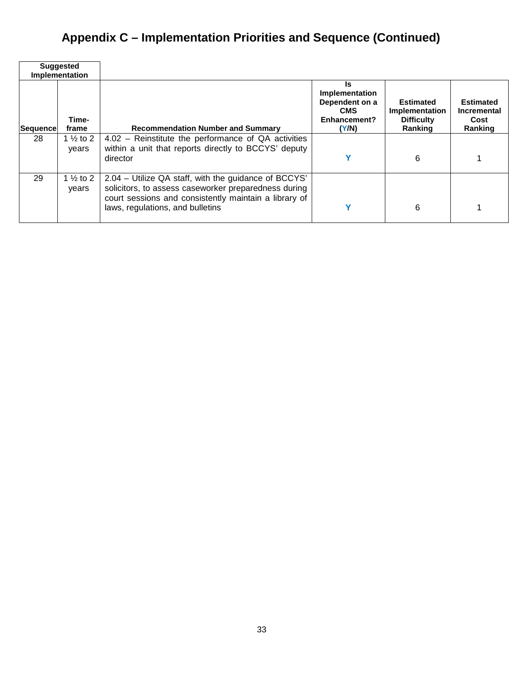## **Appendix C – Implementation Priorities and Sequence (Continued)**

| <b>Suggested</b><br>Implementation |                               |                                                                                                                                                                                                           |                                                                               |                                                                           |                                                           |
|------------------------------------|-------------------------------|-----------------------------------------------------------------------------------------------------------------------------------------------------------------------------------------------------------|-------------------------------------------------------------------------------|---------------------------------------------------------------------------|-----------------------------------------------------------|
| Sequence                           | Time-<br>frame                | <b>Recommendation Number and Summary</b>                                                                                                                                                                  | Is<br>Implementation<br>Dependent on a<br><b>CMS</b><br>Enhancement?<br>(Y/N) | <b>Estimated</b><br><b>Implementation</b><br><b>Difficulty</b><br>Ranking | <b>Estimated</b><br><b>Incremental</b><br>Cost<br>Ranking |
| 28                                 | 1 $\frac{1}{2}$ to 2<br>vears | 4.02 - Reinstitute the performance of QA activities<br>within a unit that reports directly to BCCYS' deputy<br>director                                                                                   |                                                                               | 6                                                                         |                                                           |
| 29                                 | 1 $\frac{1}{2}$ to 2<br>vears | 2.04 – Utilize QA staff, with the guidance of BCCYS'<br>solicitors, to assess caseworker preparedness during<br>court sessions and consistently maintain a library of<br>laws, regulations, and bulletins |                                                                               | 6                                                                         |                                                           |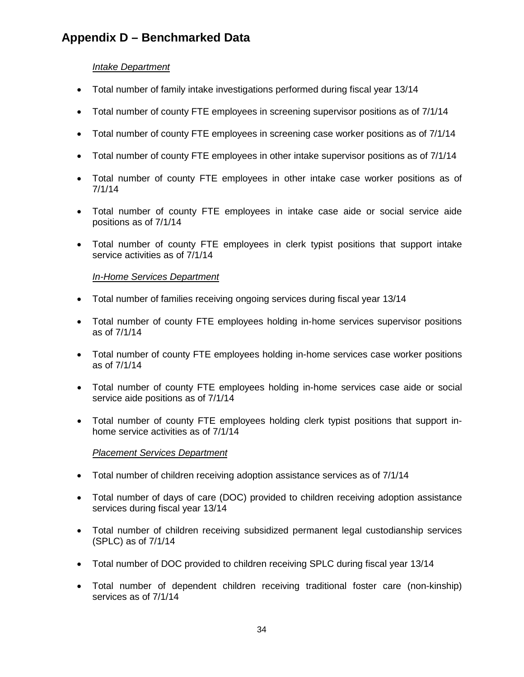## **Appendix D – Benchmarked Data**

#### *Intake Department*

- Total number of family intake investigations performed during fiscal year 13/14
- Total number of county FTE employees in screening supervisor positions as of 7/1/14
- Total number of county FTE employees in screening case worker positions as of 7/1/14
- Total number of county FTE employees in other intake supervisor positions as of 7/1/14
- Total number of county FTE employees in other intake case worker positions as of 7/1/14
- Total number of county FTE employees in intake case aide or social service aide positions as of 7/1/14
- Total number of county FTE employees in clerk typist positions that support intake service activities as of  $7/1/14$

#### *In-Home Services Department*

- Total number of families receiving ongoing services during fiscal year 13/14
- Total number of county FTE employees holding in-home services supervisor positions as of 7/1/14
- Total number of county FTE employees holding in-home services case worker positions as of 7/1/14
- Total number of county FTE employees holding in-home services case aide or social service aide positions as of 7/1/14
- Total number of county FTE employees holding clerk typist positions that support inhome service activities as of 7/1/14

#### *Placement Services Department*

- Total number of children receiving adoption assistance services as of 7/1/14
- Total number of days of care (DOC) provided to children receiving adoption assistance services during fiscal year 13/14
- Total number of children receiving subsidized permanent legal custodianship services (SPLC) as of 7/1/14
- Total number of DOC provided to children receiving SPLC during fiscal year 13/14
- Total number of dependent children receiving traditional foster care (non-kinship) services as of 7/1/14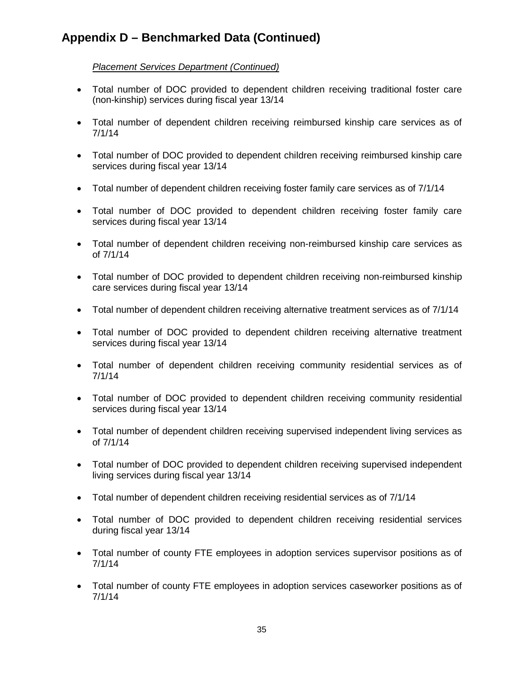#### *Placement Services Department (Continued)*

- Total number of DOC provided to dependent children receiving traditional foster care (non-kinship) services during fiscal year 13/14
- Total number of dependent children receiving reimbursed kinship care services as of 7/1/14
- Total number of DOC provided to dependent children receiving reimbursed kinship care services during fiscal year 13/14
- Total number of dependent children receiving foster family care services as of 7/1/14
- Total number of DOC provided to dependent children receiving foster family care services during fiscal year 13/14
- Total number of dependent children receiving non-reimbursed kinship care services as of 7/1/14
- Total number of DOC provided to dependent children receiving non-reimbursed kinship care services during fiscal year 13/14
- Total number of dependent children receiving alternative treatment services as of 7/1/14
- Total number of DOC provided to dependent children receiving alternative treatment services during fiscal year 13/14
- Total number of dependent children receiving community residential services as of 7/1/14
- Total number of DOC provided to dependent children receiving community residential services during fiscal year 13/14
- Total number of dependent children receiving supervised independent living services as of 7/1/14
- Total number of DOC provided to dependent children receiving supervised independent living services during fiscal year 13/14
- Total number of dependent children receiving residential services as of 7/1/14
- Total number of DOC provided to dependent children receiving residential services during fiscal year 13/14
- Total number of county FTE employees in adoption services supervisor positions as of 7/1/14
- Total number of county FTE employees in adoption services caseworker positions as of 7/1/14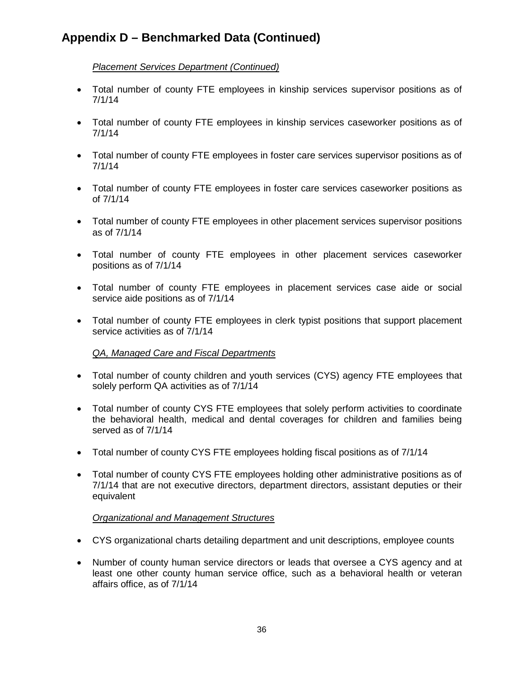#### *Placement Services Department (Continued)*

- Total number of county FTE employees in kinship services supervisor positions as of 7/1/14
- Total number of county FTE employees in kinship services caseworker positions as of 7/1/14
- Total number of county FTE employees in foster care services supervisor positions as of 7/1/14
- Total number of county FTE employees in foster care services caseworker positions as of 7/1/14
- Total number of county FTE employees in other placement services supervisor positions as of 7/1/14
- Total number of county FTE employees in other placement services caseworker positions as of 7/1/14
- Total number of county FTE employees in placement services case aide or social service aide positions as of 7/1/14
- Total number of county FTE employees in clerk typist positions that support placement service activities as of 7/1/14

#### *QA, Managed Care and Fiscal Departments*

- Total number of county children and youth services (CYS) agency FTE employees that solely perform QA activities as of 7/1/14
- Total number of county CYS FTE employees that solely perform activities to coordinate the behavioral health, medical and dental coverages for children and families being served as of 7/1/14
- Total number of county CYS FTE employees holding fiscal positions as of 7/1/14
- Total number of county CYS FTE employees holding other administrative positions as of 7/1/14 that are not executive directors, department directors, assistant deputies or their equivalent

#### *Organizational and Management Structures*

- CYS organizational charts detailing department and unit descriptions, employee counts
- Number of county human service directors or leads that oversee a CYS agency and at least one other county human service office, such as a behavioral health or veteran affairs office, as of 7/1/14